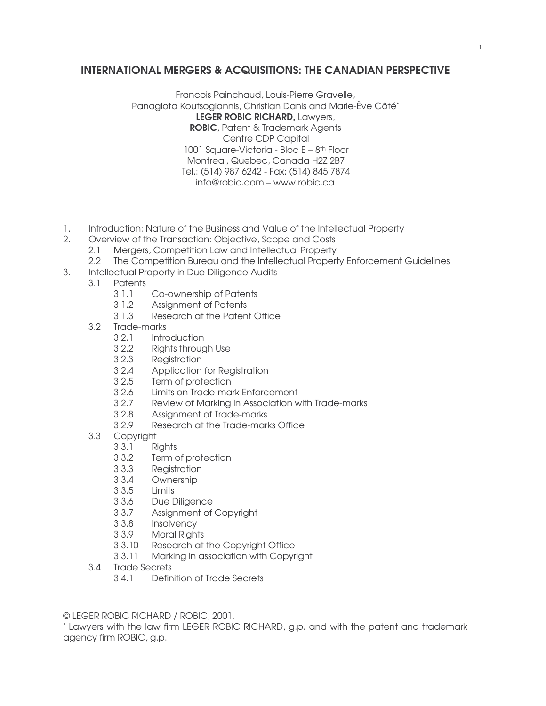#### INTERNATIONAL MERGERS & ACQUISITIONS: THE CANADIAN PERSPECTIVE

Francois Painchaud, Louis-Pierre Gravelle, Panagiota Koutsogiannis, Christian Danis and Marie-Ève Côté\* LEGER ROBIC RICHARD, Lawyers, ROBIC, Patent & Trademark Agents Centre CDP Capital 1001 Square-Victoria - Bloc E – 8<sup>th</sup> Floor Montreal, Quebec, Canada H2Z 2B7 Tel.: (514) 987 6242 - Fax: (514) 845 7874 info@robic.com – www.robic.ca

- 1. Introduction: Nature of the Business and Value of the Intellectual Property
- 2. Overview of the Transaction: Objective, Scope and Costs
	- 2.1 Mergers, Competition Law and Intellectual Property
	- 2.2 The Competition Bureau and the Intellectual Property Enforcement Guidelines
- 3. Intellectual Property in Due Diligence Audits
	- 3.1 Patents
		- 3.1.1 Co-ownership of Patents
		- 3.1.2 Assignment of Patents
		- 3.1.3 Research at the Patent Office
	- 3.2 Trade-marks
		- 3.2.1 Introduction<br>3.2.2 Riahts throug
		- 3.2.2 Rights through Use
		- 3.2.3 Registration
		- 3.2.4 Application for Registration
		- 3.2.5 Term of protection
		- 3.2.6 Limits on Trade-mark Enforcement
		- 3.2.7 Review of Marking in Association with Trade-marks
		- 3.2.8 Assignment of Trade-marks
		- 3.2.9 Research at the Trade-marks Office
	- 3.3 Copyright
		- 3.3.1 Rights
		- 3.3.2 Term of protection
		- 3.3.3 Registration
		- 3.3.4 Ownership
		- 3.3.5 Limits
		- 3.3.6 Due Diligence
		- 3.3.7 Assignment of Copyright
		- **Insolvency**
		- 3.3.9 Moral Rights
		- 3.3.10 Research at the Copyright Office
		- 3.3.11 Marking in association with Copyright
	- 3.4 Trade Secrets

3.4.1 Definition of Trade Secrets

<sup>©</sup> LEGER ROBIC RICHARD / ROBIC, 2001.

<sup>\*</sup> Lawyers with the law firm LEGER ROBIC RICHARD, g.p. and with the patent and trademark agency firm ROBIC, g.p.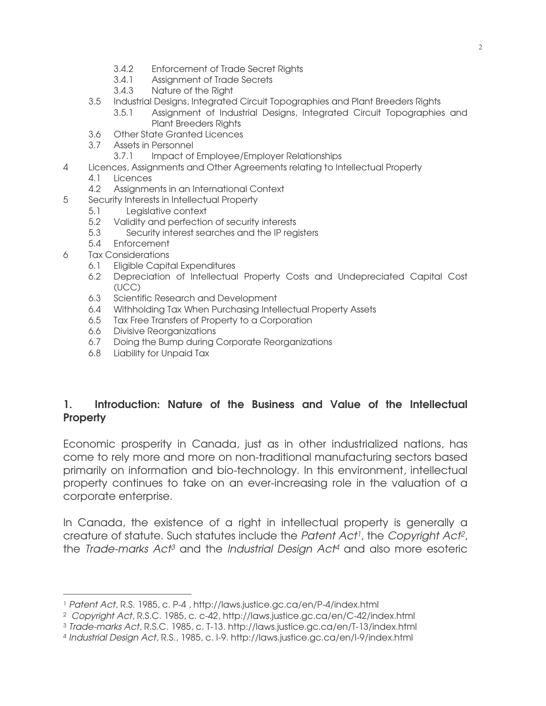- 3.4.2 Enforcement of Trade Secret Rights
- 3.4.1 Assignment of Trade Secrets
- 3.4.3 Nature of the Right
- 3.5 Industrial Designs, Integrated Circuit Topographies and Plant Breeders Rights 3.5.1 Assignment of Industrial Designs, Integrated Circuit Topographies and
	- Plant Breeders Rights
- 3.6 Other State Granted Licences
- 3.7 Assets in Personnel
	- 3.7.1 Impact of Employee/Employer Relationships
- 4 Licences, Assignments and Other Agreements relating to Intellectual Property
	- 4.1 Licences
	- 4.2 Assignments in an International Context
- 5 Security Interests in Intellectual Property
	- 5.1 Legislative context
	- 5.2 Validity and perfection of security interests
	- 5.3 Security interest searches and the IP registers
	- 5.4 Enforcement
- 6 Tax Considerations
	- 6.1 Eligible Capital Expenditures
	- 6.2 Depreciation of Intellectual Property Costs and Undepreciated Capital Cost (UCC)
	- 6.3 Scientific Research and Development
	- 6.4 Withholding Tax When Purchasing Intellectual Property Assets
	- 6.5 Tax Free Transfers of Property to a Corporation
	- 6.6 Divisive Reorganizations
	- 6.7 Doing the Bump during Corporate Reorganizations
	- 6.8 Liability for Unpaid Tax

#### 1. Introduction: Nature of the Business and Value of the Intellectual **Property**

Economic prosperity in Canada, just as in other industrialized nations, has come to rely more and more on non-traditional manufacturing sectors based primarily on information and bio-technology. In this environment, intellectual property continues to take on an ever-increasing role in the valuation of a corporate enterprise.

In Canada, the existence of a right in intellectual property is generally a creature of statute. Such statutes include the *Patent Act <sup>1</sup>*, the *Copyright Act 2*, the *Trade-marks Act <sup>3</sup>* and the *Industrial Design Act <sup>4</sup>* and also more esoteric

<sup>1</sup> *Patent Act*, R.S. 1985, c. P-4 , http://laws.justice.gc.ca/en/P-4/index.html

<sup>2</sup> *Copyright Act*, R.S.C. 1985, c. c-42, http://laws.justice.gc.ca/en/C-42/index.html

<sup>3</sup> *Trade-marks Act*, R.S.C. 1985, c. T-13. http://laws.justice.gc.ca/en/T-13/index.html

<sup>4</sup> *Industrial Design Act*, R.S., 1985, c. I-9. http://laws.justice.gc.ca/en/I-9/index.html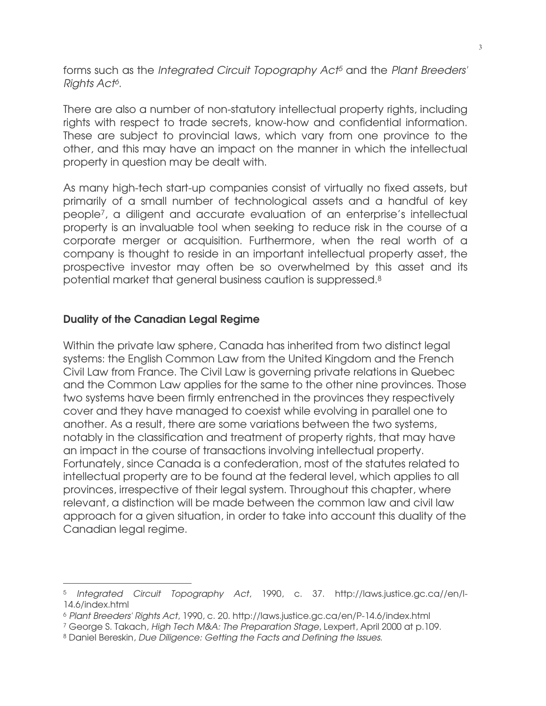forms such as the *Integrated Circuit Topography Act <sup>5</sup>* and the *Plant Breeders' Rights Act 6*.

There are also a number of non-statutory intellectual property rights, including rights with respect to trade secrets, know-how and confidential information. These are subject to provincial laws, which vary from one province to the other, and this may have an impact on the manner in which the intellectual property in question may be dealt with.

As many high-tech start-up companies consist of virtually no fixed assets, but primarily of a small number of technological assets and a handful of key people7, a diligent and accurate evaluation of an enterprise's intellectual property is an invaluable tool when seeking to reduce risk in the course of a corporate merger or acquisition. Furthermore, when the real worth of a company is thought to reside in an important intellectual property asset, the prospective investor may often be so overwhelmed by this asset and its potential market that general business caution is suppressed. 8

#### Duality of the Canadian Legal Regime

Within the private law sphere, Canada has inherited from two distinct legal systems: the English Common Law from the United Kingdom and the French Civil Law from France. The Civil Law is governing private relations in Quebec and the Common Law applies for the same to the other nine provinces. Those two systems have been firmly entrenched in the provinces they respectively cover and they have managed to coexist while evolving in parallel one to another. As a result, there are some variations between the two systems, notably in the classification and treatment of property rights, that may have an impact in the course of transactions involving intellectual property. Fortunately, since Canada is a confederation, most of the statutes related to intellectual property are to be found at the federal level, which applies to all provinces, irrespective of their legal system. Throughout this chapter, where relevant, a distinction will be made between the common law and civil law approach for a given situation, in order to take into account this duality of the Canadian legal regime.

<sup>5</sup> *Integrated Circuit Topography Act*, 1990, c. 37. http://laws.justice.gc.ca//en/I-14.6/index.html

<sup>6</sup> *Plant Breeders' Rights Act*, 1990, c. 20. http://laws.justice.gc.ca/en/P-14.6/index.html

<sup>7</sup> George S. Takach, *High Tech M&A: The Preparation Stage*, Lexpert, April 2000 at p.109.

<sup>8</sup> Daniel Bereskin, *Due Diligence: Getting the Facts and Defining the Issues*.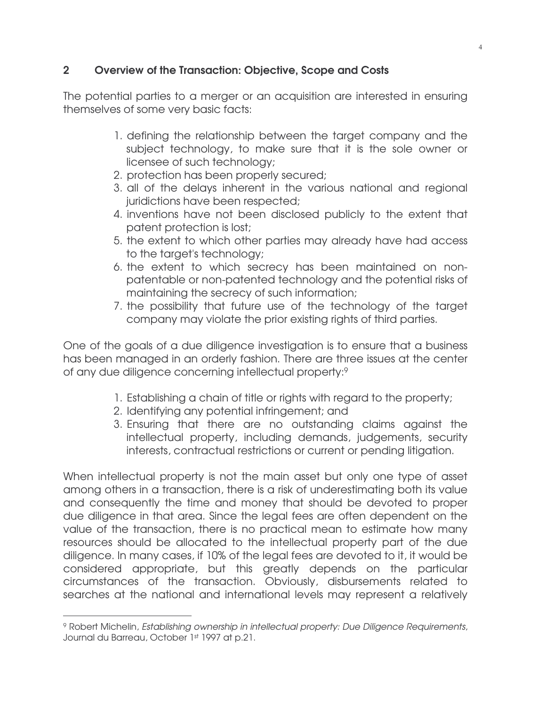#### 2 Overview of the Transaction: Objective, Scope and Costs

The potential parties to a merger or an acquisition are interested in ensuring themselves of some very basic facts:

- 1. defining the relationship between the target company and the subject technology, to make sure that it is the sole owner or licensee of such technology;
- 2. protection has been properly secured;
- 3. all of the delays inherent in the various national and regional juridictions have been respected;
- 4. inventions have not been disclosed publicly to the extent that patent protection is lost;
- 5. the extent to which other parties may already have had access to the target's technology;
- 6. the extent to which secrecy has been maintained on nonpatentable or non-patented technology and the potential risks of maintaining the secrecy of such information;
- 7. the possibility that future use of the technology of the target company may violate the prior existing rights of third parties.

One of the goals of a due diligence investigation is to ensure that a business has been managed in an orderly fashion. There are three issues at the center of any due diligence concerning intellectual property: 9

- 1. Establishing a chain of title or rights with regard to the property;
- 2. Identifying any potential infringement; and
- 3. Ensuring that there are no outstanding claims against the intellectual property, including demands, judgements, security interests, contractual restrictions or current or pending litigation.

When intellectual property is not the main asset but only one type of asset among others in a transaction, there is a risk of underestimating both its value and consequently the time and money that should be devoted to proper due diligence in that area. Since the legal fees are often dependent on the value of the transaction, there is no practical mean to estimate how many resources should be allocated to the intellectual property part of the due diligence. In many cases, if 10% of the legal fees are devoted to it, it would be considered appropriate, but this greatly depends on the particular circumstances of the transaction. Obviously, disbursements related to searches at the national and international levels may represent a relatively

<sup>9</sup> Robert Michelin, *Establishing ownership in intellectual property: Due Diligence Requirements*, Journal du Barreau, October 1st 1997 at p.21.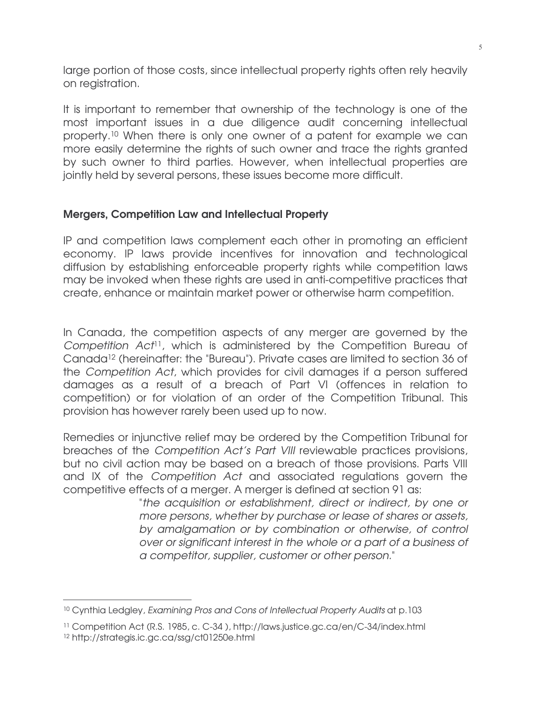large portion of those costs, since intellectual property rights often rely heavily on registration.

It is important to remember that ownership of the technology is one of the most important issues in a due diligence audit concerning intellectual property. <sup>10</sup> When there is only one owner of a patent for example we can more easily determine the rights of such owner and trace the rights granted by such owner to third parties. However, when intellectual properties are jointly held by several persons, these issues become more difficult.

#### Mergers, Competition Law and Intellectual Property

IP and competition laws complement each other in promoting an efficient economy. IP laws provide incentives for innovation and technological diffusion by establishing enforceable property rights while competition laws may be invoked when these rights are used in anti-competitive practices that create, enhance or maintain market power or otherwise harm competition.

In Canada, the competition aspects of any merger are governed by the *Competition Act*<sup>11</sup>, which is administered by the Competition Bureau of Canada<sup>12</sup> (hereinafter: the "Bureau"). Private cases are limited to section 36 of the *Competition Act*, which provides for civil damages if a person suffered damages as a result of a breach of Part VI (offences in relation to competition) or for violation of an order of the Competition Tribunal. This provision has however rarely been used up to now.

Remedies or injunctive relief may be ordered by the Competition Tribunal for breaches of the *Competition Act's Part VIII* reviewable practices provisions, but no civil action may be based on a breach of those provisions. Parts VIII and IX of the *Competition Act* and associated regulations govern the competitive effects of a merger. A merger is defined at section 91 as:

> "*the acquisition or establishment, direct or indirect, by one or more persons, whether by purchase or lease of shares or assets, by amalgamation or by combination or otherwise, of control over or significant interest in the whole or a part of a business of a competitor, supplier, customer or other person.*"

<sup>10</sup> Cynthia Ledgley, *Examining Pros and Cons of Intellectual Property Audits* at p.103

<sup>11</sup> Competition Act (R.S. 1985, c. C-34 ), http://laws.justice.gc.ca/en/C-34/index.html <sup>12</sup> http://strategis.ic.gc.ca/ssg/ct01250e.html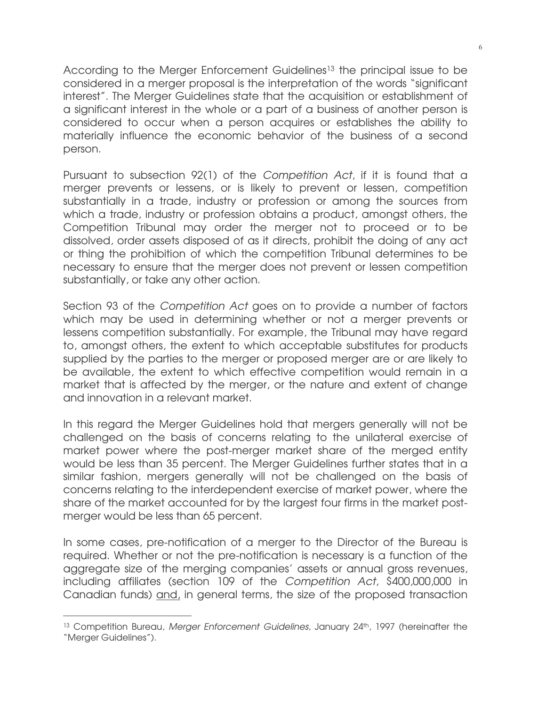According to the Merger Enforcement Guidelines <sup>13</sup> the principal issue to be considered in a merger proposal is the interpretation of the words "significant interest". The Merger Guidelines state that the acquisition or establishment of a significant interest in the whole or a part of a business of another person is considered to occur when a person acquires or establishes the ability to materially influence the economic behavior of the business of a second person.

Pursuant to subsection 92(1) of the *Competition Act*, if it is found that a merger prevents or lessens, or is likely to prevent or lessen, competition substantially in a trade, industry or profession or among the sources from which a trade, industry or profession obtains a product, amongst others, the Competition Tribunal may order the merger not to proceed or to be dissolved, order assets disposed of as it directs, prohibit the doing of any act or thing the prohibition of which the competition Tribunal determines to be necessary to ensure that the merger does not prevent or lessen competition substantially, or take any other action.

Section 93 of the *Competition Act* goes on to provide a number of factors which may be used in determining whether or not a merger prevents or lessens competition substantially. For example, the Tribunal may have regard to, amongst others, the extent to which acceptable substitutes for products supplied by the parties to the merger or proposed merger are or are likely to be available, the extent to which effective competition would remain in a market that is affected by the merger, or the nature and extent of change and innovation in a relevant market.

In this regard the Merger Guidelines hold that mergers generally will not be challenged on the basis of concerns relating to the unilateral exercise of market power where the post-merger market share of the merged entity would be less than 35 percent. The Merger Guidelines further states that in a similar fashion, mergers generally will not be challenged on the basis of concerns relating to the interdependent exercise of market power, where the share of the market accounted for by the largest four firms in the market postmerger would be less than 65 percent.

In some cases, pre-notification of a merger to the Director of the Bureau is required. Whether or not the pre-notification is necessary is a function of the aggregate size of the merging companies' assets or annual gross revenues, including affiliates (section 109 of the *Competition Act*, \$400,000,000 in Canadian funds) and, in general terms, the size of the proposed transaction

<sup>13</sup> Competition Bureau, *Merger Enforcement Guidelines*, January 24th, 1997 (hereinafter the "Merger Guidelines").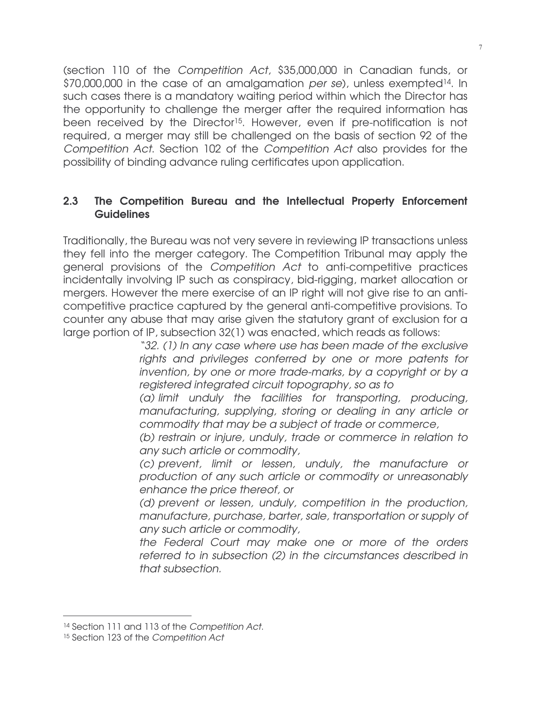(section 110 of the *Competition Act*, \$35,000,000 in Canadian funds, or \$70,000,000 in the case of an amalgamation *per se*), unless exempted<sup>14</sup>. In such cases there is a mandatory waiting period within which the Director has the opportunity to challenge the merger after the required information has been received by the Director <sup>15</sup>. However, even if pre-notification is not required, a merger may still be challenged on the basis of section 92 of the *Competition Act*. Section 102 of the *Competition Act* also provides for the possibility of binding advance ruling certificates upon application.

#### 2.3 The Competition Bureau and the Intellectual Property Enforcement **Guidelines**

Traditionally, the Bureau was not very severe in reviewing IP transactions unless they fell into the merger category. The Competition Tribunal may apply the general provisions of the *Competition Act* to anti-competitive practices incidentally involving IP such as conspiracy, bid-rigging, market allocation or mergers. However the mere exercise of an IP right will not give rise to an anticompetitive practice captured by the general anti-competitive provisions. To counter any abuse that may arise given the statutory grant of exclusion for a large portion of IP, subsection 32(1) was enacted, which reads as follows:

*"32. (1) In any case where use has been made of the exclusive rights and privileges conferred by one or more patents for invention, by one or more trade-marks, by a copyright or by a registered integrated circuit topography, so as to*

*(a) limit unduly the facilities for transporting, producing, manufacturing, supplying, storing or dealing in any article or commodity that may be a subject of trade or commerce,*

*(b) restrain or injure, unduly, trade or commerce in relation to any such article or commodity,*

*(c) prevent, limit or lessen, unduly, the manufacture or production of any such article or commodity or unreasonably enhance the price thereof, or*

*(d) prevent or lessen, unduly, competition in the production, manufacture, purchase, barter, sale, transportation or supply of any such article or commodity,*

*the Federal Court may make one or more of the orders referred to in subsection (2) in the circumstances described in that subsection.*

<sup>14</sup> Section 111 and 113 of the *Competition Act*.

<sup>15</sup> Section 123 of the *Competition Act*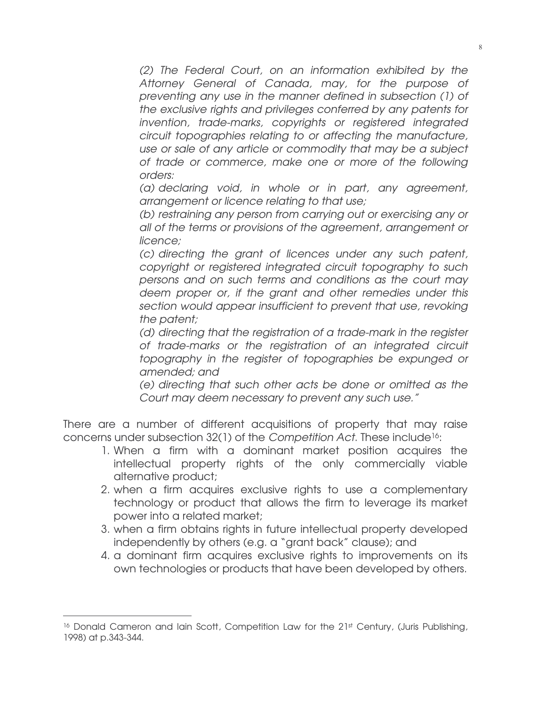*(2) The Federal Court, on an information exhibited by the Attorney General of Canada, may, for the purpose of preventing any use in the manner defined in subsection (1) of the exclusive rights and privileges conferred by any patents for invention, trade-marks, copyrights or registered integrated circuit topographies relating to or affecting the manufacture, use or sale of any article or commodity that may be a subject of trade or commerce, make one or more of the following orders:*

*(a) declaring void, in whole or in part, any agreement, arrangement or licence relating to that use;*

*(b) restraining any person from carrying out or exercising any or all of the terms or provisions of the agreement, arrangement or licence;*

*(c) directing the grant of licences under any such patent, copyright or registered integrated circuit topography to such persons and on such terms and conditions as the court may deem proper or, if the grant and other remedies under this section would appear insufficient to prevent that use, revoking the patent;*

*(d) directing that the registration of a trade-mark in the register of trade-marks or the registration of an integrated circuit topography in the register of topographies be expunged or amended; and*

*(e) directing that such other acts be done or omitted as the Court may deem necessary to prevent any such use."*

There are a number of different acquisitions of property that may raise concerns under subsection 32(1) of the *Competition Act*. These include16:

- 1. When a firm with a dominant market position acquires the intellectual property rights of the only commercially viable alternative product;
- 2. when a firm acquires exclusive rights to use a complementary technology or product that allows the firm to leverage its market power into a related market;
- 3. when a firm obtains rights in future intellectual property developed independently by others (e.g. a "grant back" clause); and
- 4. a dominant firm acquires exclusive rights to improvements on its own technologies or products that have been developed by others.

<sup>16</sup> Donald Cameron and Iain Scott, Competition Law for the 21st Century, (Juris Publishing, 1998) at p.343-344.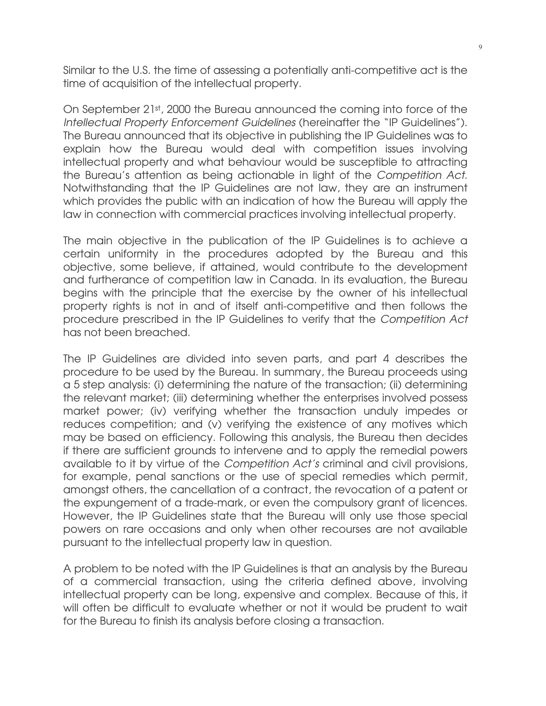Similar to the U.S. the time of assessing a potentially anti-competitive act is the time of acquisition of the intellectual property.

On September 21st, 2000 the Bureau announced the coming into force of the *Intellectual Property Enforcement Guidelines* (hereinafter the "IP Guidelines"). The Bureau announced that its objective in publishing the IP Guidelines was to explain how the Bureau would deal with competition issues involving intellectual property and what behaviour would be susceptible to attracting the Bureau's attention as being actionable in light of the *Competition Act*. Notwithstanding that the IP Guidelines are not law, they are an instrument which provides the public with an indication of how the Bureau will apply the law in connection with commercial practices involving intellectual property.

The main objective in the publication of the IP Guidelines is to achieve a certain uniformity in the procedures adopted by the Bureau and this objective, some believe, if attained, would contribute to the development and furtherance of competition law in Canada. In its evaluation, the Bureau begins with the principle that the exercise by the owner of his intellectual property rights is not in and of itself anti-competitive and then follows the procedure prescribed in the IP Guidelines to verify that the *Competition Act* has not been breached.

The IP Guidelines are divided into seven parts, and part 4 describes the procedure to be used by the Bureau. In summary, the Bureau proceeds using a 5 step analysis: (i) determining the nature of the transaction; (ii) determining the relevant market; (iii) determining whether the enterprises involved possess market power; (iv) verifying whether the transaction unduly impedes or reduces competition; and (v) verifying the existence of any motives which may be based on efficiency. Following this analysis, the Bureau then decides if there are sufficient grounds to intervene and to apply the remedial powers available to it by virtue of the *Competition Act's* criminal and civil provisions, for example, penal sanctions or the use of special remedies which permit, amongst others, the cancellation of a contract, the revocation of a patent or the expungement of a trade-mark, or even the compulsory grant of licences. However, the IP Guidelines state that the Bureau will only use those special powers on rare occasions and only when other recourses are not available pursuant to the intellectual property law in question.

A problem to be noted with the IP Guidelines is that an analysis by the Bureau of a commercial transaction, using the criteria defined above, involving intellectual property can be long, expensive and complex. Because of this, it will often be difficult to evaluate whether or not it would be prudent to wait for the Bureau to finish its analysis before closing a transaction.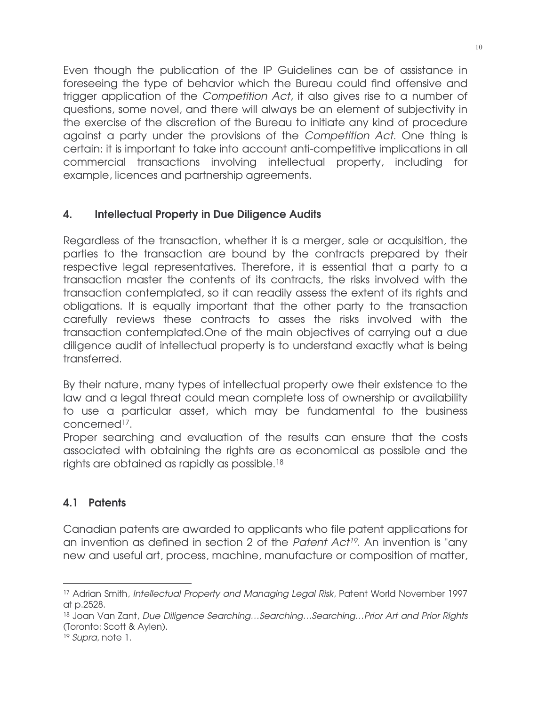Even though the publication of the IP Guidelines can be of assistance in foreseeing the type of behavior which the Bureau could find offensive and trigger application of the *Competition Act*, it also gives rise to a number of questions, some novel, and there will always be an element of subjectivity in the exercise of the discretion of the Bureau to initiate any kind of procedure against a party under the provisions of the *Competition Act*. One thing is certain: it is important to take into account anti-competitive implications in all commercial transactions involving intellectual property, including for example, licences and partnership agreements.

## 4. Intellectual Property in Due Diligence Audits

Regardless of the transaction, whether it is a merger, sale or acquisition, the parties to the transaction are bound by the contracts prepared by their respective legal representatives. Therefore, it is essential that a party to a transaction master the contents of its contracts, the risks involved with the transaction contemplated, so it can readily assess the extent of its rights and obligations. It is equally important that the other party to the transaction carefully reviews these contracts to asses the risks involved with the transaction contemplated.One of the main objectives of carrying out a due diligence audit of intellectual property is to understand exactly what is being transferred.

By their nature, many types of intellectual property owe their existence to the law and a legal threat could mean complete loss of ownership or availability to use a particular asset, which may be fundamental to the business concerned<sup>17</sup>.

Proper searching and evaluation of the results can ensure that the costs associated with obtaining the rights are as economical as possible and the rights are obtained as rapidly as possible. 18

# 4.1 Patents

Canadian patents are awarded to applicants who file patent applications for an invention as defined in section 2 of the *Patent Act <sup>19</sup>*. An invention is "any new and useful art, process, machine, manufacture or composition of matter,

<sup>17</sup> Adrian Smith, *Intellectual Property and Managing Legal Risk*, Patent World November 1997 at p.2528.

<sup>18</sup> Joan Van Zant, *Due Diligence Searching…Searching…Searching…Prior Art and Prior Rights* (Toronto: Scott & Aylen).

<sup>19</sup> *Supra,* note 1.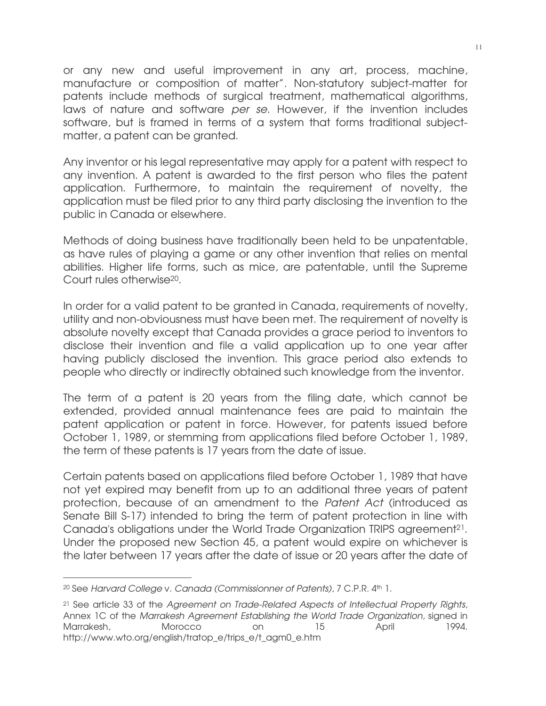or any new and useful improvement in any art, process, machine, manufacture or composition of matter". Non-statutory subject-matter for patents include methods of surgical treatment, mathematical algorithms, laws of nature and software *per se*. However, if the invention includes software, but is framed in terms of a system that forms traditional subjectmatter, a patent can be granted.

Any inventor or his legal representative may apply for a patent with respect to any invention. A patent is awarded to the first person who files the patent application. Furthermore, to maintain the requirement of novelty, the application must be filed prior to any third party disclosing the invention to the public in Canada or elsewhere.

Methods of doing business have traditionally been held to be unpatentable, as have rules of playing a game or any other invention that relies on mental abilities. Higher life forms, such as mice, are patentable, until the Supreme Court rules otherwise20.

In order for a valid patent to be granted in Canada, requirements of novelty, utility and non-obviousness must have been met. The requirement of novelty is absolute novelty except that Canada provides a grace period to inventors to disclose their invention and file a valid application up to one year after having publicly disclosed the invention. This grace period also extends to people who directly or indirectly obtained such knowledge from the inventor.

The term of a patent is 20 years from the filing date, which cannot be extended, provided annual maintenance fees are paid to maintain the patent application or patent in force. However, for patents issued before October 1, 1989, or stemming from applications filed before October 1, 1989, the term of these patents is 17 years from the date of issue.

Certain patents based on applications filed before October 1, 1989 that have not yet expired may benefit from up to an additional three years of patent protection, because of an amendment to the *Patent Act* (introduced as Senate Bill S-17) intended to bring the term of patent protection in line with Canada's obligations under the World Trade Organization TRIPS agreement <sup>21</sup>. Under the proposed new Section 45, a patent would expire on whichever is the later between 17 years after the date of issue or 20 years after the date of

<sup>20</sup> See *Harvard College* v*. Canada (Commissionner of Patents)*, 7 C.P.R. 4th 1.

<sup>21</sup> See article 33 of the *Agreement on Trade-Related Aspects of Intellectual Property Rights*, Annex 1C of the *Marrakesh Agreement Establishing the World Trade Organization*, signed in Marrakesh, Morocco on 15 April 1994. http://www.wto.org/english/tratop\_e/trips\_e/t\_agm0\_e.htm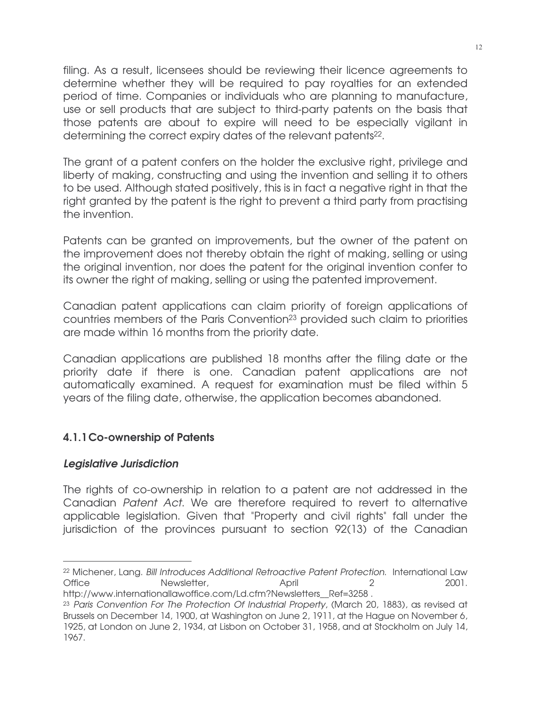filing. As a result, licensees should be reviewing their licence agreements to determine whether they will be required to pay royalties for an extended period of time. Companies or individuals who are planning to manufacture, use or sell products that are subject to third-party patents on the basis that those patents are about to expire will need to be especially vigilant in determining the correct expiry dates of the relevant patents <sup>22</sup>.

The grant of a patent confers on the holder the exclusive right, privilege and liberty of making, constructing and using the invention and selling it to others to be used. Although stated positively, this is in fact a negative right in that the right granted by the patent is the right to prevent a third party from practising the invention.

Patents can be granted on improvements, but the owner of the patent on the improvement does not thereby obtain the right of making, selling or using the original invention, nor does the patent for the original invention confer to its owner the right of making, selling or using the patented improvement.

Canadian patent applications can claim priority of foreign applications of countries members of the Paris Convention<sup>23</sup> provided such claim to priorities are made within 16 months from the priority date.

Canadian applications are published 18 months after the filing date or the priority date if there is one. Canadian patent applications are not automatically examined. A request for examination must be filed within 5 years of the filing date, otherwise, the application becomes abandoned.

## 4.1.1Co-ownership of Patents

#### *Legislative Jurisdiction*

The rights of co-ownership in relation to a patent are not addressed in the Canadian *Patent Act*. We are therefore required to revert to alternative applicable legislation. Given that "Property and civil rights" fall under the jurisdiction of the provinces pursuant to section 92(13) of the Canadian

<sup>22</sup> Michener, Lang. *Bill Introduces Additional Retroactive Patent Protection*. International Law Office Newsletter, April 2 2001. http://www.internationallawoffice.com/Ld.cfm?Newsletters\_Ref=3258.

<sup>23</sup> *Paris Convention For The Protection Of Industrial Property*, (March 20, 1883), as revised at Brussels on December 14, 1900, at Washington on June 2, 1911, at the Hague on November 6, 1925, at London on June 2, 1934, at Lisbon on October 31, 1958, and at Stockholm on July 14, 1967.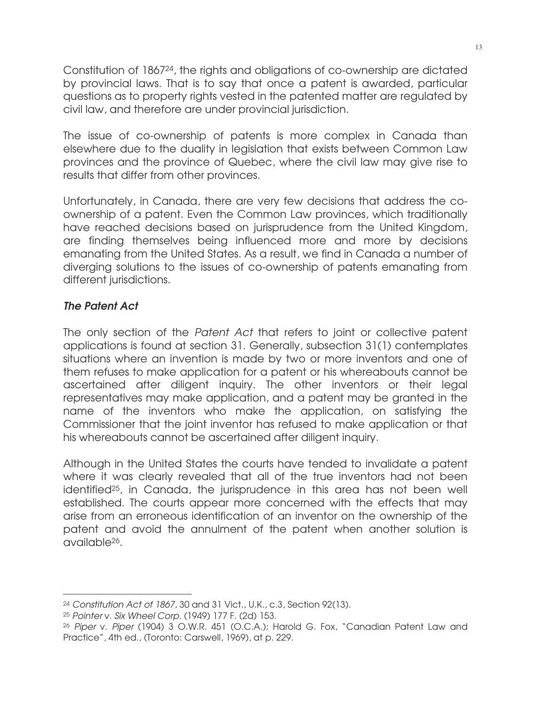Constitution of 186724, the rights and obligations of co-ownership are dictated by provincial laws. That is to say that once a patent is awarded, particular questions as to property rights vested in the patented matter are regulated by civil law, and therefore are under provincial jurisdiction.

The issue of co-ownership of patents is more complex in Canada than elsewhere due to the duality in legislation that exists between Common Law provinces and the province of Quebec, where the civil law may give rise to results that differ from other provinces.

Unfortunately, in Canada, there are very few decisions that address the coownership of a patent. Even the Common Law provinces, which traditionally have reached decisions based on jurisprudence from the United Kingdom, are finding themselves being influenced more and more by decisions emanating from the United States. As a result, we find in Canada a number of diverging solutions to the issues of co-ownership of patents emanating from different jurisdictions.

#### *The Patent Act*

The only section of the *Patent Act* that refers to joint or collective patent applications is found at section 31. Generally, subsection 31(1) contemplates situations where an invention is made by two or more inventors and one of them refuses to make application for a patent or his whereabouts cannot be ascertained after diligent inquiry. The other inventors or their legal representatives may make application, and a patent may be granted in the name of the inventors who make the application, on satisfying the Commissioner that the joint inventor has refused to make application or that his whereabouts cannot be ascertained after diligent inquiry.

Although in the United States the courts have tended to invalidate a patent where it was clearly revealed that all of the true inventors had not been identified25, in Canada, the jurisprudence in this area has not been well established. The courts appear more concerned with the effects that may arise from an erroneous identification of an inventor on the ownership of the patent and avoid the annulment of the patent when another solution is available26.

<sup>24</sup> *Constitution Act of 1867*, 30 and 31 Vict., U.K., c.3, Section 92(13).

<sup>25</sup> *Pointer* v. *Six Wheel Corp.* (1949) 177 F. (2d) 153.

<sup>26</sup> *Piper* v. *Piper* (1904) 3 O.W.R. 451 (O.C.A.); Harold G. Fox, "Canadian Patent Law and Practice", 4th ed., (Toronto: Carswell, 1969), at p. 229.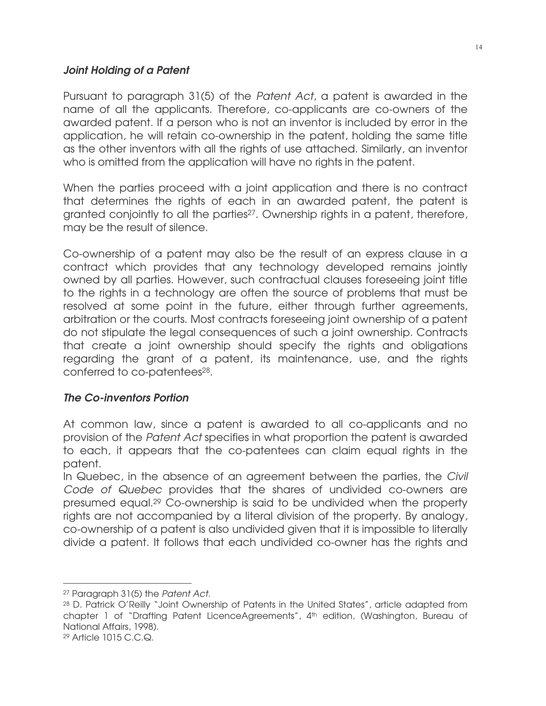#### *Joint Holding of a Patent*

Pursuant to paragraph 31(5) of the *Patent Act*, a patent is awarded in the name of all the applicants. Therefore, co-applicants are co-owners of the awarded patent. If a person who is not an inventor is included by error in the application, he will retain co-ownership in the patent, holding the same title as the other inventors with all the rights of use attached. Similarly, an inventor who is omitted from the application will have no rights in the patent.

When the parties proceed with a joint application and there is no contract that determines the rights of each in an awarded patent, the patent is granted conjointly to all the parties <sup>27</sup>. Ownership rights in a patent, therefore, may be the result of silence.

Co-ownership of a patent may also be the result of an express clause in a contract which provides that any technology developed remains jointly owned by all parties. However, such contractual clauses foreseeing joint title to the rights in a technology are often the source of problems that must be resolved at some point in the future, either through further agreements, arbitration or the courts. Most contracts foreseeing joint ownership of a patent do not stipulate the legal consequences of such a joint ownership. Contracts that create a joint ownership should specify the rights and obligations regarding the grant of a patent, its maintenance, use, and the rights conferred to co-patentees <sup>28</sup>.

#### *The Co-inventors Portion*

At common law, since a patent is awarded to all co-applicants and no provision of the *Patent Act* specifies in what proportion the patent is awarded to each, it appears that the co-patentees can claim equal rights in the patent.

In Quebec, in the absence of an agreement between the parties, the *Civil Code of Quebec* provides that the shares of undivided co-owners are presumed equal. <sup>29</sup> Co-ownership is said to be undivided when the property rights are not accompanied by a literal division of the property. By analogy, co-ownership of a patent is also undivided given that it is impossible to literally divide a patent. It follows that each undivided co-owner has the rights and

<sup>27</sup> Paragraph 31(5) the *Patent Act.*

<sup>28</sup> D. Patrick O'Reilly "Joint Ownership of Patents in the United States", article adapted from chapter 1 of "Drafting Patent LicenceAgreements", 4<sup>th</sup> edition, (Washington, Bureau of National Affairs, 1998).

<sup>29</sup> Article 1015 C.C.Q.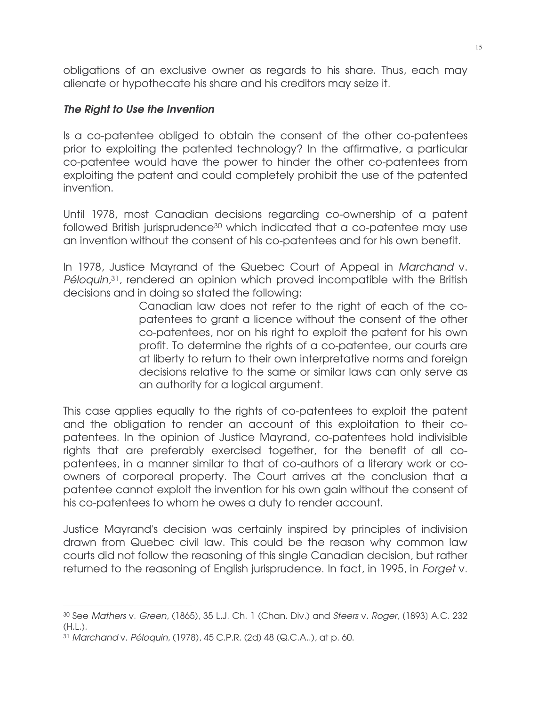obligations of an exclusive owner as regards to his share. Thus, each may alienate or hypothecate his share and his creditors may seize it.

#### *The Right to Use the Invention*

Is a co-patentee obliged to obtain the consent of the other co-patentees prior to exploiting the patented technology? In the affirmative, a particular co-patentee would have the power to hinder the other co-patentees from exploiting the patent and could completely prohibit the use of the patented invention.

Until 1978, most Canadian decisions regarding co-ownership of a patent followed British jurisprudence<sup>30</sup> which indicated that a co-patentee may use an invention without the consent of his co-patentees and for his own benefit.

In 1978, Justice Mayrand of the Quebec Court of Appeal in *Marchand* v. Péloquin,<sup>31</sup>, rendered an opinion which proved incompatible with the British decisions and in doing so stated the following:

Canadian law does not refer to the right of each of the copatentees to grant a licence without the consent of the other co-patentees, nor on his right to exploit the patent for his own profit. To determine the rights of a co-patentee, our courts are at liberty to return to their own interpretative norms and foreign decisions relative to the same or similar laws can only serve as an authority for a logical argument.

This case applies equally to the rights of co-patentees to exploit the patent and the obligation to render an account of this exploitation to their copatentees. In the opinion of Justice Mayrand, co-patentees hold indivisible rights that are preferably exercised together, for the benefit of all copatentees, in a manner similar to that of co-authors of a literary work or coowners of corporeal property. The Court arrives at the conclusion that a patentee cannot exploit the invention for his own gain without the consent of his co-patentees to whom he owes a duty to render account.

Justice Mayrand's decision was certainly inspired by principles of indivision drawn from Quebec civil law. This could be the reason why common law courts did not follow the reasoning of this single Canadian decision, but rather returned to the reasoning of English jurisprudence. In fact, in 1995, in *Forget* v.

<sup>30</sup> See *Mathers* v. *Green*, (1865), 35 L.J. Ch. 1 (Chan. Div.) and *Steers* v. *Roger*, [1893] A.C. 232  $(H.L.).$ 

<sup>31</sup> *Marchand* v. *Péloquin,* (1978), 45 C.P.R. (2d) 48 (Q.C.A..), at p. 60.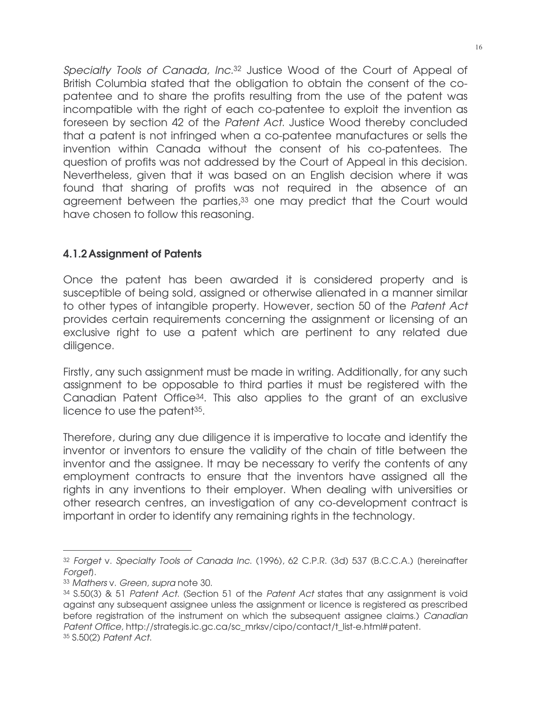*Specialty Tools of Canada, Inc.* <sup>32</sup> Justice Wood of the Court of Appeal of British Columbia stated that the obligation to obtain the consent of the copatentee and to share the profits resulting from the use of the patent was incompatible with the right of each co-patentee to exploit the invention as foreseen by section 42 of the *Patent Act*. Justice Wood thereby concluded that a patent is not infringed when a co-patentee manufactures or sells the invention within Canada without the consent of his co-patentees. The question of profits was not addressed by the Court of Appeal in this decision. Nevertheless, given that it was based on an English decision where it was found that sharing of profits was not required in the absence of an agreement between the parties, <sup>33</sup> one may predict that the Court would have chosen to follow this reasoning.

#### 4.1.2Assignment of Patents

Once the patent has been awarded it is considered property and is susceptible of being sold, assigned or otherwise alienated in a manner similar to other types of intangible property. However, section 50 of the *Patent Act* provides certain requirements concerning the assignment or licensing of an exclusive right to use a patent which are pertinent to any related due diligence.

Firstly, any such assignment must be made in writing. Additionally, for any such assignment to be opposable to third parties it must be registered with the Canadian Patent Office34. This also applies to the grant of an exclusive licence to use the patent <sup>35</sup>.

Therefore, during any due diligence it is imperative to locate and identify the inventor or inventors to ensure the validity of the chain of title between the inventor and the assignee. It may be necessary to verify the contents of any employment contracts to ensure that the inventors have assigned all the rights in any inventions to their employer. When dealing with universities or other research centres, an investigation of any co-development contract is important in order to identify any remaining rights in the technology.

<sup>32</sup> *Forget* v. *Specialty Tools of Canada Inc*. (1996), 62 C.P.R. (3d) 537 (B.C.C.A.) [hereinafter *Forget*].

<sup>33</sup> *Mathers* v. *Green, supra* note 30.

<sup>34</sup> S.50(3) & 51 *Patent Act*. (Section 51 of the *Patent Act* states that any assignment is void against any subsequent assignee unless the assignment or licence is registered as prescribed before registration of the instrument on which the subsequent assignee claims.) *Canadian Patent Office*, http://strategis.ic.gc.ca/sc\_mrksv/cipo/contact/t\_list-e.html#patent. <sup>35</sup> S.50(2) *Patent Act*.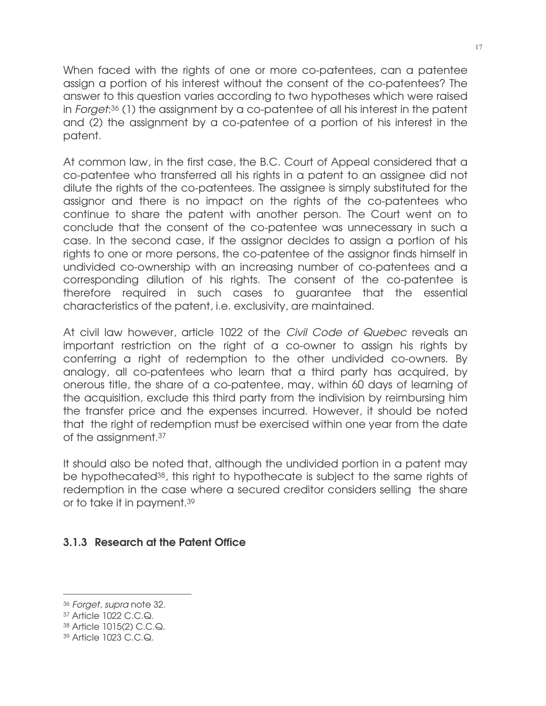When faced with the rights of one or more co-patentees, can a patentee assign a portion of his interest without the consent of the co-patentees? The answer to this question varies according to two hypotheses which were raised in *Forget*: <sup>36</sup> (1) the assignment by a co-patentee of all his interest in the patent and (2) the assignment by a co-patentee of a portion of his interest in the patent.

At common law, in the first case, the B.C. Court of Appeal considered that a co-patentee who transferred all his rights in a patent to an assignee did not dilute the rights of the co-patentees. The assignee is simply substituted for the assignor and there is no impact on the rights of the co-patentees who continue to share the patent with another person. The Court went on to conclude that the consent of the co-patentee was unnecessary in such a case. In the second case, if the assignor decides to assign a portion of his rights to one or more persons, the co-patentee of the assignor finds himself in undivided co-ownership with an increasing number of co-patentees and a corresponding dilution of his rights. The consent of the co-patentee is therefore required in such cases to guarantee that the essential characteristics of the patent, i.e. exclusivity, are maintained.

At civil law however, article 1022 of the *Civil Code of Quebec* reveals an important restriction on the right of a co-owner to assign his rights by conferring a right of redemption to the other undivided co-owners. By analogy, all co-patentees who learn that a third party has acquired, by onerous title, the share of a co-patentee, may, within 60 days of learning of the acquisition, exclude this third party from the indivision by reimbursing him the transfer price and the expenses incurred. However, it should be noted that the right of redemption must be exercised within one year from the date of the assignment. 37

It should also be noted that, although the undivided portion in a patent may be hypothecated<sup>38</sup>, this right to hypothecate is subject to the same rights of redemption in the case where a secured creditor considers selling the share or to take it in payment. 39

#### 3.1.3 Research at the Patent Office

<sup>36</sup> *Forget*, *supra* note 32.

<sup>37</sup> Article 1022 C.C.Q.

<sup>38</sup> Article 1015(2) C.C.Q.

<sup>39</sup> Article 1023 C.C.Q.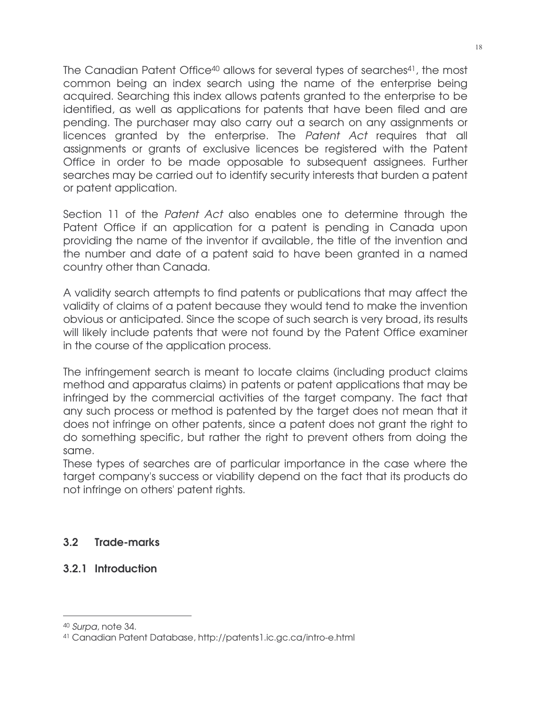The Canadian Patent Office<sup>40</sup> allows for several types of searches <sup>41</sup>, the most common being an index search using the name of the enterprise being acquired. Searching this index allows patents granted to the enterprise to be identified, as well as applications for patents that have been filed and are pending. The purchaser may also carry out a search on any assignments or licences granted by the enterprise. The *Patent Act* requires that all assignments or grants of exclusive licences be registered with the Patent Office in order to be made opposable to subsequent assignees. Further searches may be carried out to identify security interests that burden a patent or patent application.

Section 11 of the *Patent Act* also enables one to determine through the Patent Office if an application for a patent is pending in Canada upon providing the name of the inventor if available, the title of the invention and the number and date of a patent said to have been granted in a named country other than Canada.

A validity search attempts to find patents or publications that may affect the validity of claims of a patent because they would tend to make the invention obvious or anticipated. Since the scope of such search is very broad, its results will likely include patents that were not found by the Patent Office examiner in the course of the application process.

The infringement search is meant to locate claims (including product claims method and apparatus claims) in patents or patent applications that may be infringed by the commercial activities of the target company. The fact that any such process or method is patented by the target does not mean that it does not infringe on other patents, since a patent does not grant the right to do something specific, but rather the right to prevent others from doing the same.

These types of searches are of particular importance in the case where the target company's success or viability depend on the fact that its products do not infringe on others' patent rights.

#### 3.2 Trade-marks

#### 3.2.1 Introduction

<sup>40</sup> *Surpa*, note 34.

<sup>41</sup> Canadian Patent Database, http://patents1.ic.gc.ca/intro-e.html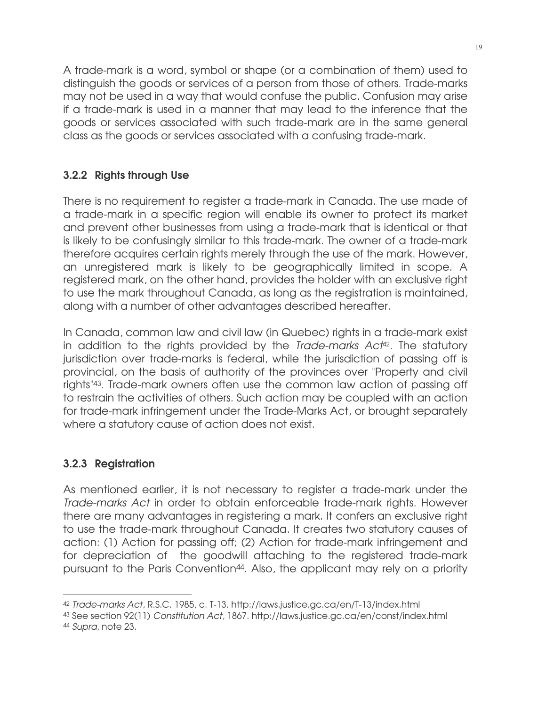A trade-mark is a word, symbol or shape (or a combination of them) used to distinguish the goods or services of a person from those of others. Trade-marks may not be used in a way that would confuse the public. Confusion may arise if a trade-mark is used in a manner that may lead to the inference that the goods or services associated with such trade-mark are in the same general class as the goods or services associated with a confusing trade-mark.

## 3.2.2 Rights through Use

There is no requirement to register a trade-mark in Canada. The use made of a trade-mark in a specific region will enable its owner to protect its market and prevent other businesses from using a trade-mark that is identical or that is likely to be confusingly similar to this trade-mark. The owner of a trade-mark therefore acquires certain rights merely through the use of the mark. However, an unregistered mark is likely to be geographically limited in scope. A registered mark, on the other hand, provides the holder with an exclusive right to use the mark throughout Canada, as long as the registration is maintained, along with a number of other advantages described hereafter.

In Canada, common law and civil law (in Quebec) rights in a trade-mark exist in addition to the rights provided by the *Trade-marks Act* 42 . The statutory jurisdiction over trade-marks is federal, while the jurisdiction of passing off is provincial, on the basis of authority of the provinces over "Property and civil rights" <sup>43</sup>. Trade-mark owners often use the common law action of passing off to restrain the activities of others. Such action may be coupled with an action for trade-mark infringement under the Trade-Marks Act, or brought separately where a statutory cause of action does not exist.

## 3.2.3 Registration

As mentioned earlier, it is not necessary to register a trade-mark under the *Trade-marks Act* in order to obtain enforceable trade-mark rights. However there are many advantages in registering a mark. It confers an exclusive right to use the trade-mark throughout Canada. It creates two statutory causes of action: (1) Action for passing off; (2) Action for trade-mark infringement and for depreciation of the goodwill attaching to the registered trade-mark pursuant to the Paris Convention<sup>44</sup>. Also, the applicant may rely on a priority

<sup>42</sup> *Trade-marks Act*, R.S.C. 1985, c. T-13. http://laws.justice.gc.ca/en/T-13/index.html

<sup>43</sup> See section 92(11) *Constitution Act*, 1867. http://laws.justice.gc.ca/en/const/index.html

<sup>44</sup> *Supra,* note 23.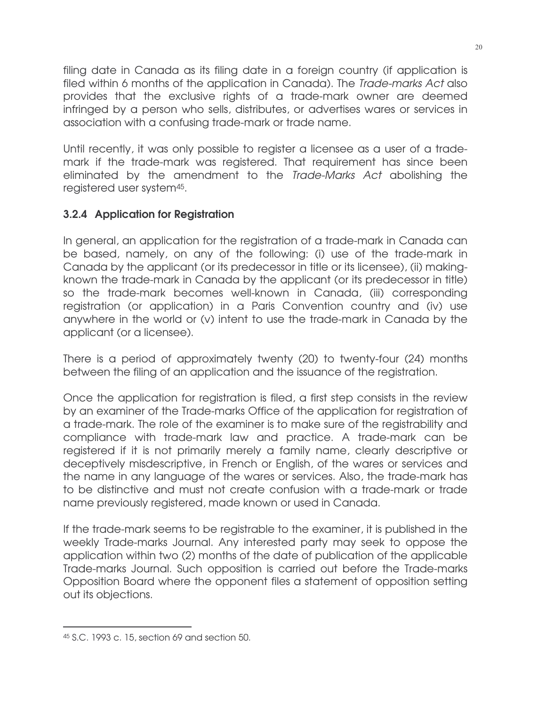filing date in Canada as its filing date in a foreign country (if application is filed within 6 months of the application in Canada). The *Trade-marks Act* also provides that the exclusive rights of a trade-mark owner are deemed infringed by a person who sells, distributes, or advertises wares or services in association with a confusing trade-mark or trade name.

Until recently, it was only possible to register a licensee as a user of a trademark if the trade-mark was registered. That requirement has since been eliminated by the amendment to the *Trade-Marks Act* abolishing the registered user system45.

## 3.2.4 Application for Registration

In general, an application for the registration of a trade-mark in Canada can be based, namely, on any of the following: (i) use of the trade-mark in Canada by the applicant (or its predecessor in title or its licensee), (ii) makingknown the trade-mark in Canada by the applicant (or its predecessor in title) so the trade-mark becomes well-known in Canada, (iii) corresponding registration (or application) in a Paris Convention country and (iv) use anywhere in the world or (v) intent to use the trade-mark in Canada by the applicant (or a licensee).

There is a period of approximately twenty (20) to twenty-four (24) months between the filing of an application and the issuance of the registration.

Once the application for registration is filed, a first step consists in the review by an examiner of the Trade-marks Office of the application for registration of a trade-mark. The role of the examiner is to make sure of the registrability and compliance with trade-mark law and practice. A trade-mark can be registered if it is not primarily merely a family name, clearly descriptive or deceptively misdescriptive, in French or English, of the wares or services and the name in any language of the wares or services. Also, the trade-mark has to be distinctive and must not create confusion with a trade-mark or trade name previously registered, made known or used in Canada.

If the trade-mark seems to be registrable to the examiner, it is published in the weekly Trade-marks Journal. Any interested party may seek to oppose the application within two (2) months of the date of publication of the applicable Trade-marks Journal. Such opposition is carried out before the Trade-marks Opposition Board where the opponent files a statement of opposition setting out its objections.

<sup>20</sup> 

<sup>45</sup> S.C. 1993 c. 15, section 69 and section 50.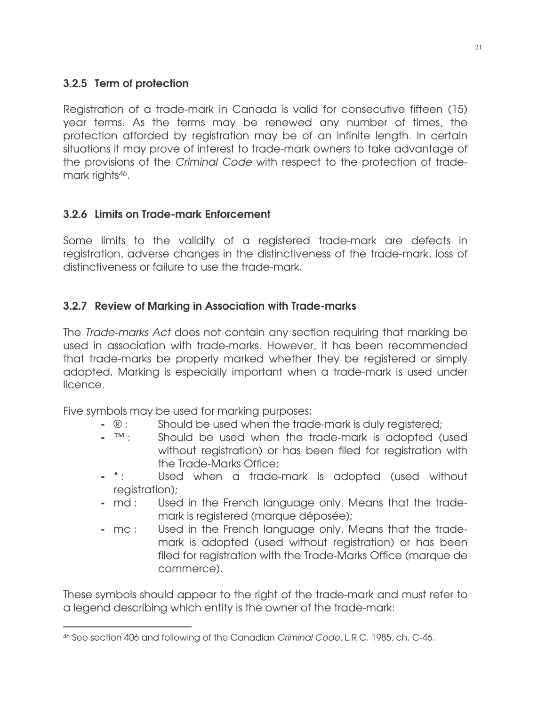## 3.2.5 Term of protection

Registration of a trade-mark in Canada is valid for consecutive fifteen (15) year terms. As the terms may be renewed any number of times, the protection afforded by registration may be of an infinite length. In certain situations it may prove of interest to trade-mark owners to take advantage of the provisions of the *Criminal Code* with respect to the protection of trademark rights <sup>46</sup>.

## 3.2.6 Limits on Trade-mark Enforcement

Some limits to the validity of a registered trade-mark are defects in registration, adverse changes in the distinctiveness of the trade-mark, loss of distinctiveness or failure to use the trade-mark.

## 3.2.7 Review of Marking in Association with Trade-marks

The *Trade-marks Act* does not contain any section requiring that marking be used in association with trade-marks. However, it has been recommended that trade-marks be properly marked whether they be registered or simply adopted. Marking is especially important when a trade-mark is used under licence.

Five symbols may be used for marking purposes:

- **-** ® : Should be used when the trade-mark is duly registered;
- Should be used when the trade-mark is adopted (used without registration) or has been filed for registration with the Trade-Marks Office;
- **-** \* : Used when a trade-mark is adopted (used without registration);
- **-** md : Used in the French language only. Means that the trademark is registered (marque déposée);
- **-** mc : Used in the French language only. Means that the trademark is adopted (used without registration) or has been filed for registration with the Trade-Marks Office (marque de commerce).

These symbols should appear to the right of the trade-mark and must refer to a legend describing which entity is the owner of the trade-mark:

<sup>46</sup> See section 406 and following of the Canadian *Criminal Code*, L.R.C. 1985, ch. C-46.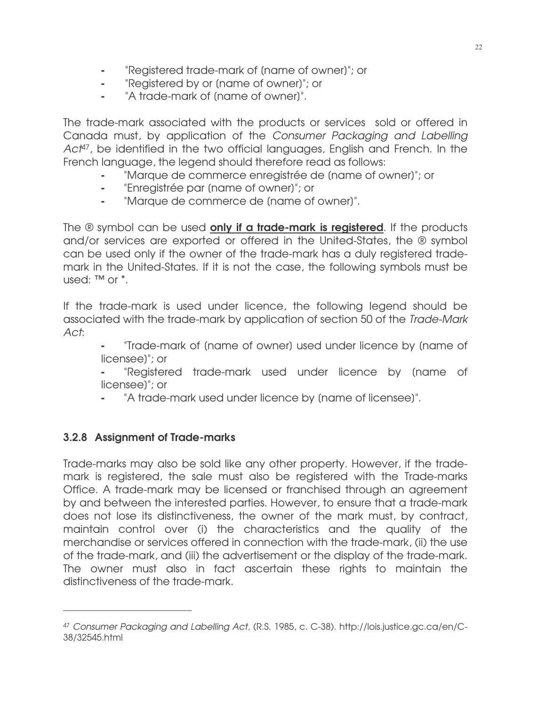- **-** "Registered trade-mark of [name of owner]"; or
- **-** "Registered by or [name of owner]"; or
- **-** "A trade-mark of [name of owner]".

The trade-mark associated with the products or services sold or offered in Canada must, by application of the *Consumer Packaging and Labelling* Ac<sup>†47</sup>, be identified in the two official languages, English and French. In the French language, the legend should therefore read as follows:

- **-** "Marque de commerce enregistrée de [name of owner]"; or
- **-** "Enregistrée par [name of owner]"; or
- **-** "Marque de commerce de [name of owner]".

The ® symbol can be used only if a trade-mark is registered. If the products and/or services are exported or offered in the United-States, the ® symbol can be used only if the owner of the trade-mark has a duly registered trademark in the United-States. If it is not the case, the following symbols must be used: ™ or \*.

If the trade-mark is used under licence, the following legend should be associated with the trade-mark by application of section 50 of the *Trade-Mark Act*:

- **-** "Trade-mark of [name of owner] used under licence by [name of licensee]"; or
- **-** "Registered trade-mark used under licence by [name of licensee]"; or
- **-** "A trade-mark used under licence by [name of licensee]".

# 3.2.8 Assignment of Trade-marks

Trade-marks may also be sold like any other property. However, if the trademark is registered, the sale must also be registered with the Trade-marks Office. A trade-mark may be licensed or franchised through an agreement by and between the interested parties. However, to ensure that a trade-mark does not lose its distinctiveness, the owner of the mark must, by contract, maintain control over (i) the characteristics and the quality of the merchandise or services offered in connection with the trade-mark, (ii) the use of the trade-mark, and (iii) the advertisement or the display of the trade-mark. The owner must also in fact ascertain these rights to maintain the distinctiveness of the trade-mark.

<sup>47</sup> *Consumer Packaging and Labelling Act,* (R.S. 1985, c. C-38). http://lois.justice.gc.ca/en/C-38/32545.html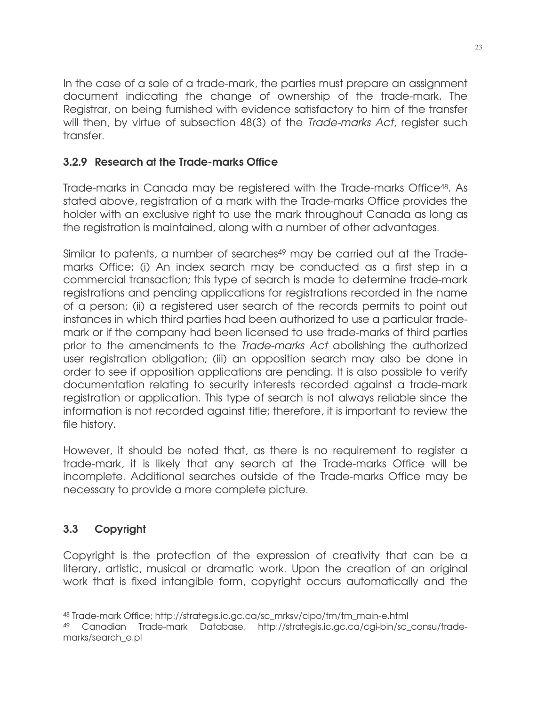In the case of a sale of a trade-mark, the parties must prepare an assignment document indicating the change of ownership of the trade-mark. The Registrar, on being furnished with evidence satisfactory to him of the transfer will then, by virtue of subsection 48(3) of the *Trade-marks Act*, register such transfer.

### 3.2.9 Research at the Trade-marks Office

Trade-marks in Canada may be registered with the Trade-marks Office48. As stated above, registration of a mark with the Trade-marks Office provides the holder with an exclusive right to use the mark throughout Canada as long as the registration is maintained, along with a number of other advantages.

Similar to patents, a number of searches <sup>49</sup> may be carried out at the Trademarks Office: (i) An index search may be conducted as a first step in a commercial transaction; this type of search is made to determine trade-mark registrations and pending applications for registrations recorded in the name of a person; (ii) a registered user search of the records permits to point out instances in which third parties had been authorized to use a particular trademark or if the company had been licensed to use trade-marks of third parties prior to the amendments to the *Trade-marks Act* abolishing the authorized user registration obligation; (iii) an opposition search may also be done in order to see if opposition applications are pending. It is also possible to verify documentation relating to security interests recorded against a trade-mark registration or application. This type of search is not always reliable since the information is not recorded against title; therefore, it is important to review the file history.

However, it should be noted that, as there is no requirement to register a trade-mark, it is likely that any search at the Trade-marks Office will be incomplete. Additional searches outside of the Trade-marks Office may be necessary to provide a more complete picture.

# 3.3 Copyright

Copyright is the protection of the expression of creativity that can be a literary, artistic, musical or dramatic work. Upon the creation of an original work that is fixed intangible form, copyright occurs automatically and the

<sup>48</sup> Trade-mark Office; http://strategis.ic.gc.ca/sc\_mrksv/cipo/tm/tm\_main-e.html

<sup>49</sup> Canadian Trade-mark Database, http://strategis.ic.gc.ca/cgi-bin/sc\_consu/trademarks/search\_e.pl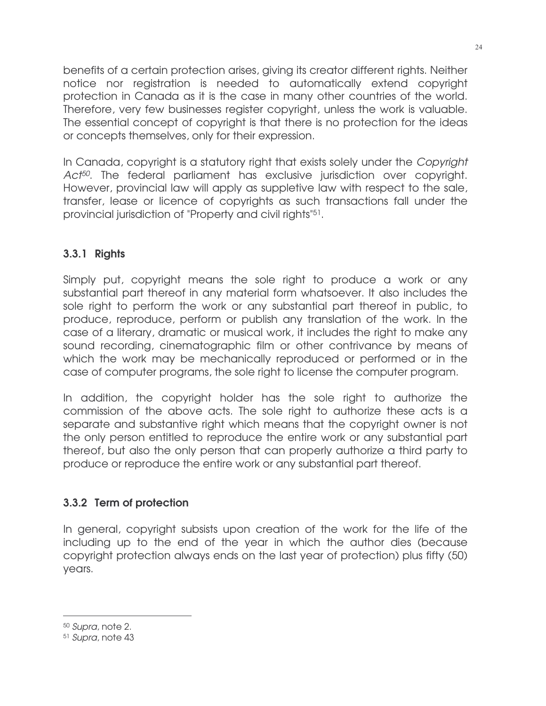benefits of a certain protection arises, giving its creator different rights. Neither notice nor registration is needed to automatically extend copyright protection in Canada as it is the case in many other countries of the world. Therefore, very few businesses register copyright, unless the work is valuable. The essential concept of copyright is that there is no protection for the ideas or concepts themselves, only for their expression.

In Canada, copyright is a statutory right that exists solely under the *Copyright Act <sup>50</sup>*. The federal parliament has exclusive jurisdiction over copyright. However, provincial law will apply as suppletive law with respect to the sale, transfer, lease or licence of copyrights as such transactions fall under the provincial jurisdiction of "Property and civil rights" <sup>51</sup>.

## 3.3.1 Rights

Simply put, copyright means the sole right to produce a work or any substantial part thereof in any material form whatsoever. It also includes the sole right to perform the work or any substantial part thereof in public, to produce, reproduce, perform or publish any translation of the work. In the case of a literary, dramatic or musical work, it includes the right to make any sound recording, cinematographic film or other contrivance by means of which the work may be mechanically reproduced or performed or in the case of computer programs, the sole right to license the computer program.

In addition, the copyright holder has the sole right to authorize the commission of the above acts. The sole right to authorize these acts is a separate and substantive right which means that the copyright owner is not the only person entitled to reproduce the entire work or any substantial part thereof, but also the only person that can properly authorize a third party to produce or reproduce the entire work or any substantial part thereof.

## 3.3.2 Term of protection

In general, copyright subsists upon creation of the work for the life of the including up to the end of the year in which the author dies (because copyright protection always ends on the last year of protection) plus fifty (50) years.

<sup>50</sup> *Supra*, note 2.

<sup>51</sup> *Supra*, note 43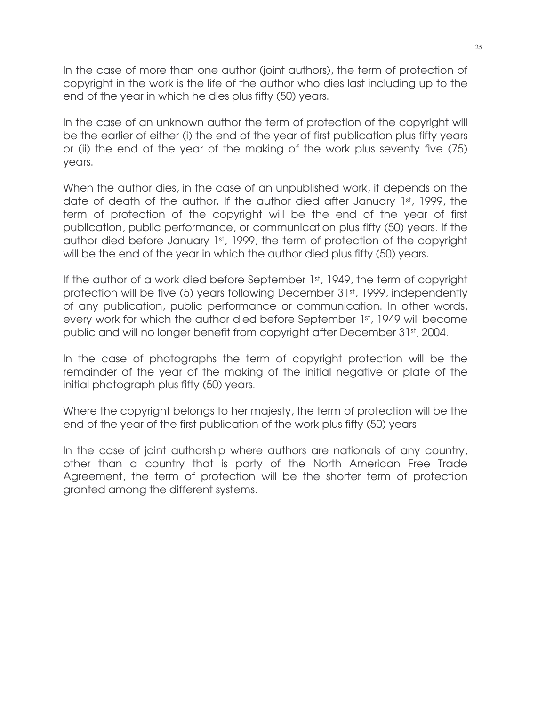In the case of more than one author (joint authors), the term of protection of copyright in the work is the life of the author who dies last including up to the end of the year in which he dies plus fifty (50) years.

In the case of an unknown author the term of protection of the copyright will be the earlier of either (i) the end of the year of first publication plus fifty years or (ii) the end of the year of the making of the work plus seventy five (75) years.

When the author dies, in the case of an unpublished work, it depends on the date of death of the author. If the author died after January 1st, 1999, the term of protection of the copyright will be the end of the year of first publication, public performance, or communication plus fifty (50) years. If the author died before January 1st, 1999, the term of protection of the copyright will be the end of the year in which the author died plus fifty (50) years.

If the author of a work died before September 1st, 1949, the term of copyright protection will be five (5) years following December 31st, 1999, independently of any publication, public performance or communication. In other words, every work for which the author died before September 1st, 1949 will become public and will no longer benefit from copyright after December 31st , 2004.

In the case of photographs the term of copyright protection will be the remainder of the year of the making of the initial negative or plate of the initial photograph plus fifty (50) years.

Where the copyright belongs to her majesty, the term of protection will be the end of the year of the first publication of the work plus fifty (50) years.

In the case of joint authorship where authors are nationals of any country, other than a country that is party of the North American Free Trade Agreement, the term of protection will be the shorter term of protection granted among the different systems.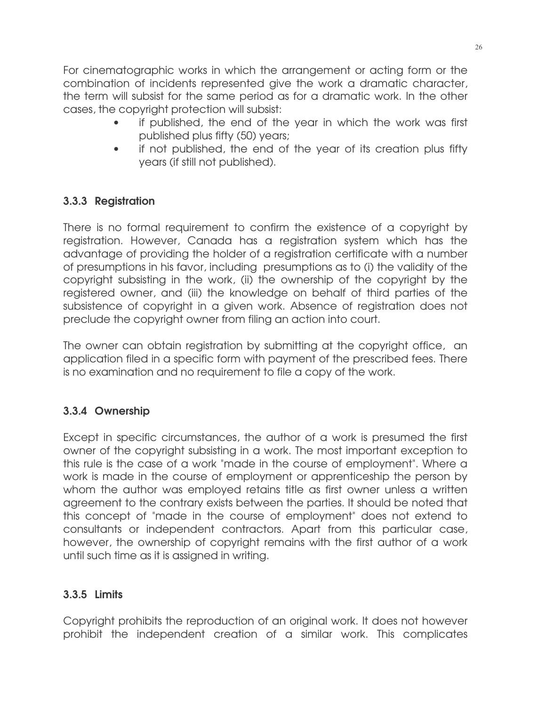For cinematographic works in which the arrangement or acting form or the combination of incidents represented give the work a dramatic character, the term will subsist for the same period as for a dramatic work. In the other cases, the copyright protection will subsist:

- if published, the end of the year in which the work was first published plus fifty (50) years;
- if not published, the end of the year of its creation plus fifty years (if still not published).

# 3.3.3 Registration

There is no formal requirement to confirm the existence of a copyright by registration. However, Canada has a registration system which has the advantage of providing the holder of a registration certificate with a number of presumptions in his favor, including presumptions as to (i) the validity of the copyright subsisting in the work, (ii) the ownership of the copyright by the registered owner, and (iii) the knowledge on behalf of third parties of the subsistence of copyright in a given work. Absence of registration does not preclude the copyright owner from filing an action into court.

The owner can obtain registration by submitting at the copyright office, an application filed in a specific form with payment of the prescribed fees. There is no examination and no requirement to file a copy of the work.

# 3.3.4 Ownership

Except in specific circumstances, the author of a work is presumed the first owner of the copyright subsisting in a work. The most important exception to this rule is the case of a work "made in the course of employment". Where a work is made in the course of employment or apprenticeship the person by whom the author was employed retains title as first owner unless a written agreement to the contrary exists between the parties. It should be noted that this concept of "made in the course of employment" does not extend to consultants or independent contractors. Apart from this particular case, however, the ownership of copyright remains with the first author of a work until such time as it is assigned in writing.

## 3.3.5 Limits

Copyright prohibits the reproduction of an original work. It does not however prohibit the independent creation of a similar work. This complicates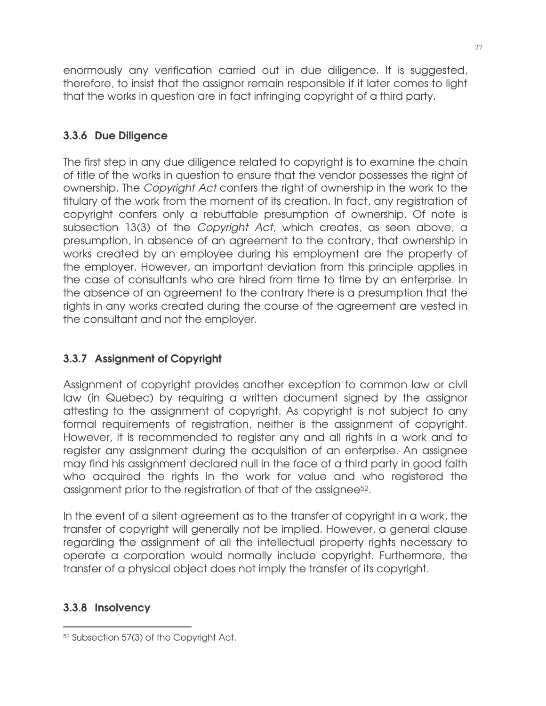enormously any verification carried out in due diligence. It is suggested, therefore, to insist that the assignor remain responsible if it later comes to light that the works in question are in fact infringing copyright of a third party.

# 3.3.6 Due Diligence

The first step in any due diligence related to copyright is to examine the chain of title of the works in question to ensure that the vendor possesses the right of ownership. The *Copyright Act* confers the right of ownership in the work to the titulary of the work from the moment of its creation. In fact, any registration of copyright confers only a rebuttable presumption of ownership. Of note is subsection 13(3) of the *Copyright Act*, which creates, as seen above, a presumption, in absence of an agreement to the contrary, that ownership in works created by an employee during his employment are the property of the employer. However, an important deviation from this principle applies in the case of consultants who are hired from time to time by an enterprise. In the absence of an agreement to the contrary there is a presumption that the rights in any works created during the course of the agreement are vested in the consultant and not the employer.

# 3.3.7 Assignment of Copyright

Assignment of copyright provides another exception to common law or civil law (in Quebec) by requiring a written document signed by the assignor attesting to the assignment of copyright. As copyright is not subject to any formal requirements of registration, neither is the assignment of copyright. However, it is recommended to register any and all rights in a work and to register any assignment during the acquisition of an enterprise. An assignee may find his assignment declared null in the face of a third party in good faith who acquired the rights in the work for value and who registered the assignment prior to the registration of that of the assignee52.

In the event of a silent agreement as to the transfer of copyright in a work, the transfer of copyright will generally not be implied. However, a general clause regarding the assignment of all the intellectual property rights necessary to operate a corporation would normally include copyright. Furthermore, the transfer of a physical object does not imply the transfer of its copyright.

# 3.3.8 Insolvency

<sup>52</sup> Subsection 57(3) of the Copyright Act.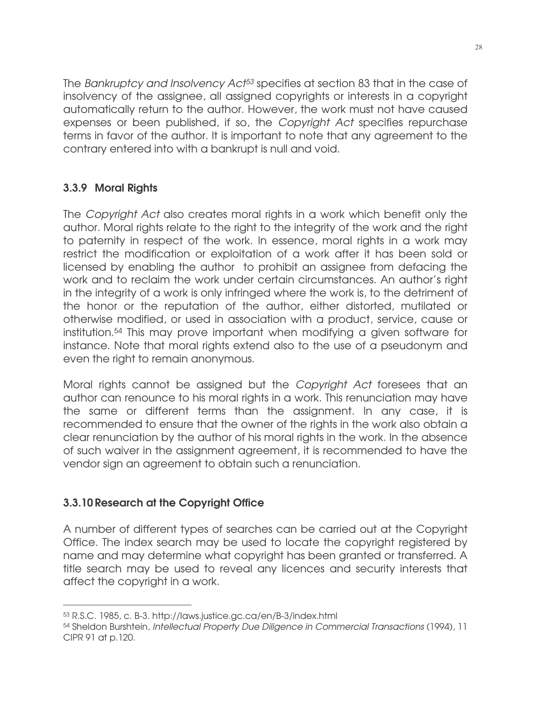The *Bankruptcy and Insolvency Act <sup>53</sup>* specifies at section 83 that in the case of insolvency of the assignee, all assigned copyrights or interests in a copyright automatically return to the author. However, the work must not have caused expenses or been published, if so, the *Copyright Act* specifies repurchase terms in favor of the author. It is important to note that any agreement to the contrary entered into with a bankrupt is null and void.

## 3.3.9 Moral Rights

The *Copyright Act* also creates moral rights in a work which benefit only the author. Moral rights relate to the right to the integrity of the work and the right to paternity in respect of the work. In essence, moral rights in a work may restrict the modification or exploitation of a work after it has been sold or licensed by enabling the author to prohibit an assignee from defacing the work and to reclaim the work under certain circumstances. An author's right in the integrity of a work is only infringed where the work is, to the detriment of the honor or the reputation of the author, either distorted, mutilated or otherwise modified, or used in association with a product, service, cause or institution. <sup>54</sup> This may prove important when modifying a given software for instance. Note that moral rights extend also to the use of a pseudonym and even the right to remain anonymous.

Moral rights cannot be assigned but the *Copyright Act* foresees that an author can renounce to his moral rights in a work. This renunciation may have the same or different terms than the assignment. In any case, it is recommended to ensure that the owner of the rights in the work also obtain a clear renunciation by the author of his moral rights in the work. In the absence of such waiver in the assignment agreement, it is recommended to have the vendor sign an agreement to obtain such a renunciation.

# 3.3.10 Research at the Copyright Office

A number of different types of searches can be carried out at the Copyright Office. The index search may be used to locate the copyright registered by name and may determine what copyright has been granted or transferred. A title search may be used to reveal any licences and security interests that affect the copyright in a work.

<sup>53</sup> R.S.C. 1985, c. B-3. http://laws.justice.gc.ca/en/B-3/index.html

<sup>54</sup> Sheldon Burshtein, *Intellectual Property Due Diligence in Commercial Transactions* (1994), 11 CIPR 91 at p.120.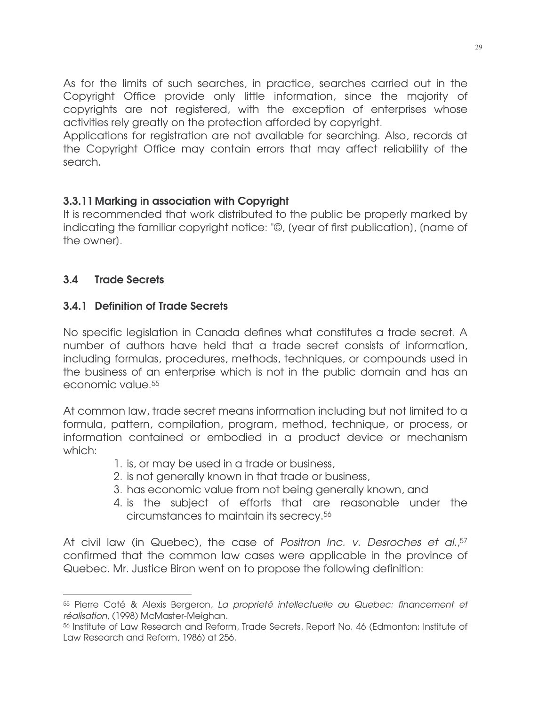As for the limits of such searches, in practice, searches carried out in the Copyright Office provide only little information, since the majority of copyrights are not registered, with the exception of enterprises whose activities rely greatly on the protection afforded by copyright.

Applications for registration are not available for searching. Also, records at the Copyright Office may contain errors that may affect reliability of the search.

## 3.3.11 Marking in association with Copyright

It is recommended that work distributed to the public be properly marked by indicating the familiar copyright notice: "©, [year of first publication], [name of the owner).

## 3.4 Trade Secrets

## 3.4.1 Definition of Trade Secrets

No specific legislation in Canada defines what constitutes a trade secret. A number of authors have held that a trade secret consists of information, including formulas, procedures, methods, techniques, or compounds used in the business of an enterprise which is not in the public domain and has an economic value. 55

At common law, trade secret means information including but not limited to a formula, pattern, compilation, program, method, technique, or process, or information contained or embodied in a product device or mechanism which:

- 1. is, or may be used in a trade or business,
- 2. is not generally known in that trade or business,
- 3. has economic value from not being generally known, and
- 4. is the subject of efforts that are reasonable under the circumstances to maintain its secrecy. 56

At civil law (in Quebec), the case of *Positron Inc. v. Desroches et al.*, 57 confirmed that the common law cases were applicable in the province of Quebec. Mr. Justice Biron went on to propose the following definition:

<sup>55</sup> Pierre Coté & Alexis Bergeron, *La proprieté intellectuelle au Quebec: financement et réalisation*, (1998) McMaster-Meighan.

<sup>56</sup> Institute of Law Research and Reform, Trade Secrets, Report No. 46 (Edmonton: Institute of Law Research and Reform, 1986) at 256.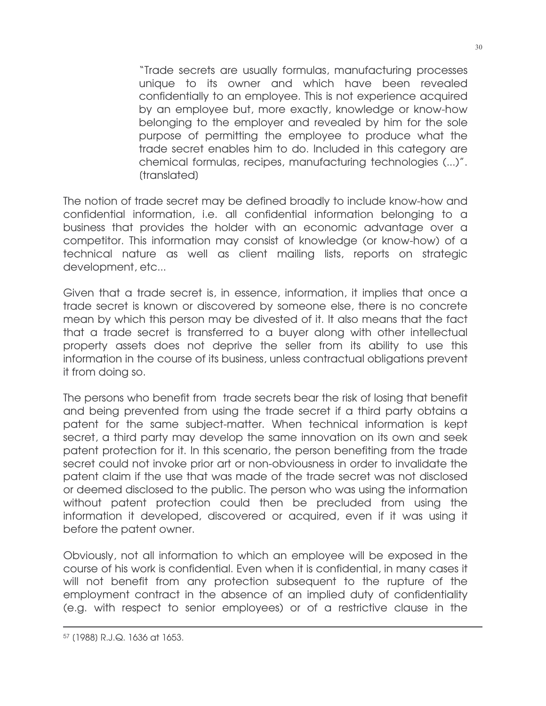"Trade secrets are usually formulas, manufacturing processes unique to its owner and which have been revealed confidentially to an employee. This is not experience acquired by an employee but, more exactly, knowledge or know-how belonging to the employer and revealed by him for the sole purpose of permitting the employee to produce what the trade secret enables him to do. Included in this category are chemical formulas, recipes, manufacturing technologies (...)". [translated]

The notion of trade secret may be defined broadly to include know-how and confidential information, i.e. all confidential information belonging to a business that provides the holder with an economic advantage over a competitor. This information may consist of knowledge (or know-how) of a technical nature as well as client mailing lists, reports on strategic development, etc...

Given that a trade secret is, in essence, information, it implies that once a trade secret is known or discovered by someone else, there is no concrete mean by which this person may be divested of it. It also means that the fact that a trade secret is transferred to a buyer along with other intellectual property assets does not deprive the seller from its ability to use this information in the course of its business, unless contractual obligations prevent it from doing so.

The persons who benefit from trade secrets bear the risk of losing that benefit and being prevented from using the trade secret if a third party obtains a patent for the same subject-matter. When technical information is kept secret, a third party may develop the same innovation on its own and seek patent protection for it. In this scenario, the person benefiting from the trade secret could not invoke prior art or non-obviousness in order to invalidate the patent claim if the use that was made of the trade secret was not disclosed or deemed disclosed to the public. The person who was using the information without patent protection could then be precluded from using the information it developed, discovered or acquired, even if it was using it before the patent owner.

Obviously, not all information to which an employee will be exposed in the course of his work is confidential. Even when it is confidential, in many cases it will not benefit from any protection subsequent to the rupture of the employment contract in the absence of an implied duty of confidentiality (e.g. with respect to senior employees) or of a restrictive clause in the

<sup>57</sup> [1988] R.J.Q. 1636 at 1653.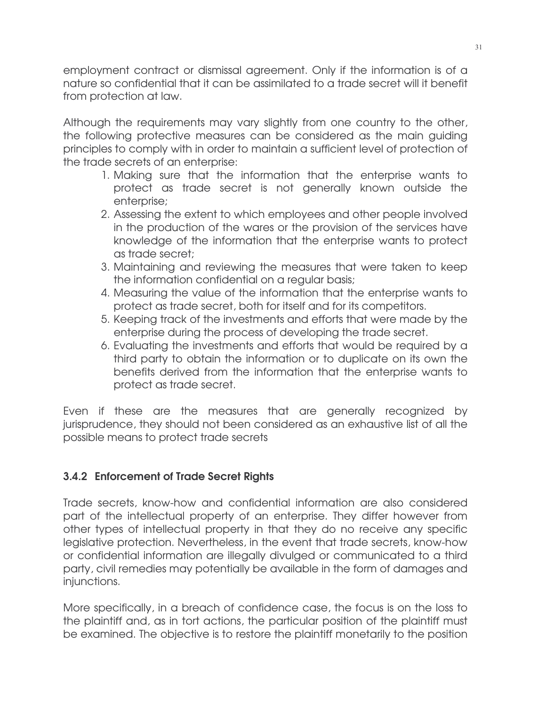employment contract or dismissal agreement. Only if the information is of a nature so confidential that it can be assimilated to a trade secret will it benefit from protection at law.

Although the requirements may vary slightly from one country to the other, the following protective measures can be considered as the main guiding principles to comply with in order to maintain a sufficient level of protection of the trade secrets of an enterprise:

- 1. Making sure that the information that the enterprise wants to protect as trade secret is not generally known outside the enterprise;
- 2. Assessing the extent to which employees and other people involved in the production of the wares or the provision of the services have knowledge of the information that the enterprise wants to protect as trade secret;
- 3. Maintaining and reviewing the measures that were taken to keep the information confidential on a regular basis;
- 4. Measuring the value of the information that the enterprise wants to protect as trade secret, both for itself and for its competitors.
- 5. Keeping track of the investments and efforts that were made by the enterprise during the process of developing the trade secret.
- 6. Evaluating the investments and efforts that would be required by a third party to obtain the information or to duplicate on its own the benefits derived from the information that the enterprise wants to protect as trade secret.

Even if these are the measures that are generally recognized by jurisprudence, they should not been considered as an exhaustive list of all the possible means to protect trade secrets

## 3.4.2 Enforcement of Trade Secret Rights

Trade secrets, know-how and confidential information are also considered part of the intellectual property of an enterprise. They differ however from other types of intellectual property in that they do no receive any specific legislative protection. Nevertheless, in the event that trade secrets, know-how or confidential information are illegally divulged or communicated to a third party, civil remedies may potentially be available in the form of damages and injunctions.

More specifically, in a breach of confidence case, the focus is on the loss to the plaintiff and, as in tort actions, the particular position of the plaintiff must be examined. The objective is to restore the plaintiff monetarily to the position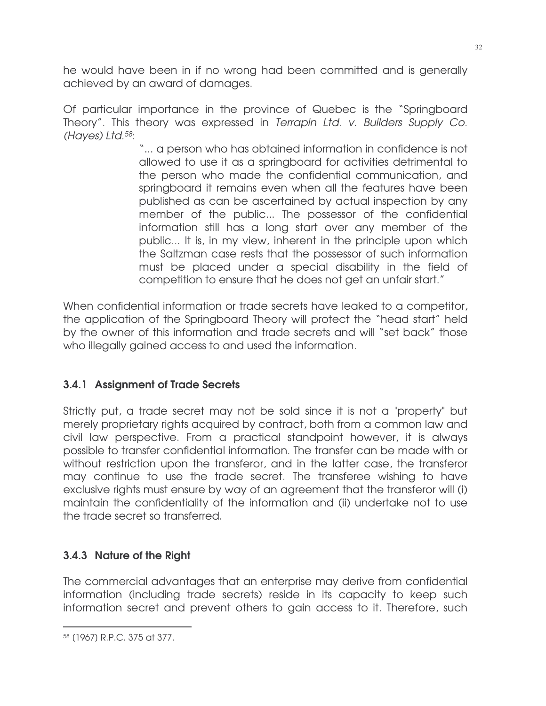he would have been in if no wrong had been committed and is generally achieved by an award of damages.

Of particular importance in the province of Quebec is the "Springboard Theory". This theory was expressed in *Terrapin Ltd. v. Builders Supply Co. (Hayes) Ltd. <sup>58</sup>*:

> "... a person who has obtained information in confidence is not allowed to use it as a springboard for activities detrimental to the person who made the confidential communication, and springboard it remains even when all the features have been published as can be ascertained by actual inspection by any member of the public... The possessor of the confidential information still has a long start over any member of the public... It is, in my view, inherent in the principle upon which the Saltzman case rests that the possessor of such information must be placed under a special disability in the field of competition to ensure that he does not get an unfair start."

When confidential information or trade secrets have leaked to a competitor, the application of the Springboard Theory will protect the "head start" held by the owner of this information and trade secrets and will "set back" those who illegally gained access to and used the information.

# 3.4.1 Assignment of Trade Secrets

Strictly put, a trade secret may not be sold since it is not a "property" but merely proprietary rights acquired by contract, both from a common law and civil law perspective. From a practical standpoint however, it is always possible to transfer confidential information. The transfer can be made with or without restriction upon the transferor, and in the latter case, the transferor may continue to use the trade secret. The transferee wishing to have exclusive rights must ensure by way of an agreement that the transferor will (i) maintain the confidentiality of the information and (ii) undertake not to use the trade secret so transferred.

# 3.4.3 Nature of the Right

The commercial advantages that an enterprise may derive from confidential information (including trade secrets) reside in its capacity to keep such information secret and prevent others to gain access to it. Therefore, such

<sup>58</sup> [1967] R.P.C. 375 at 377.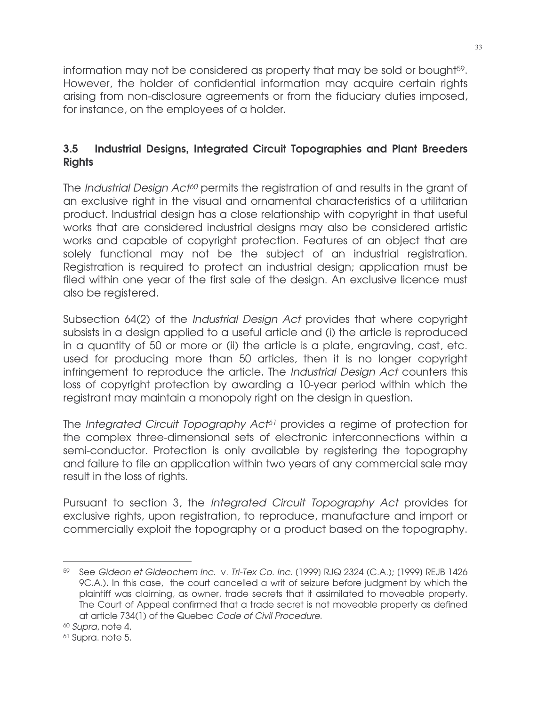information may not be considered as property that may be sold or bought <sup>59</sup>. However, the holder of confidential information may acquire certain rights arising from non-disclosure agreements or from the fiduciary duties imposed, for instance, on the employees of a holder.

## 3.5 Industrial Designs, Integrated Circuit Topographies and Plant Breeders **Rights**

The *Industrial Design Act <sup>60</sup>* permits the registration of and results in the grant of an exclusive right in the visual and ornamental characteristics of a utilitarian product. Industrial design has a close relationship with copyright in that useful works that are considered industrial designs may also be considered artistic works and capable of copyright protection. Features of an object that are solely functional may not be the subject of an industrial registration. Registration is required to protect an industrial design; application must be filed within one year of the first sale of the design. An exclusive licence must also be registered.

Subsection 64(2) of the *Industrial Design Act* provides that where copyright subsists in a design applied to a useful article and (i) the article is reproduced in a quantity of 50 or more or (ii) the article is a plate, engraving, cast, etc. used for producing more than 50 articles, then it is no longer copyright infringement to reproduce the article. The *Industrial Design Act* counters this loss of copyright protection by awarding a 10-year period within which the registrant may maintain a monopoly right on the design in question.

The *Integrated Circuit Topography Act <sup>61</sup>* provides a regime of protection for the complex three-dimensional sets of electronic interconnections within a semi-conductor. Protection is only available by registering the topography and failure to file an application within two years of any commercial sale may result in the loss of rights.

Pursuant to section 3, the *Integrated Circuit Topography Act* provides for exclusive rights, upon registration, to reproduce, manufacture and import or commercially exploit the topography or a product based on the topography.

<sup>59</sup> See *Gideon et Gideochem Inc.* v. *Tri-Tex Co. Inc.* [1999] RJQ 2324 (C.A.); [1999] REJB 1426 9C.A.). In this case, the court cancelled a writ of seizure before judgment by which the plaintiff was claiming, as owner, trade secrets that it assimilated to moveable property. The Court of Appeal confirmed that a trade secret is not moveable property as defined at article 734(1) of the Quebec *Code of Civil Procedure*.

<sup>60</sup> *Supra*, note 4.

<sup>61</sup> Supra. note 5.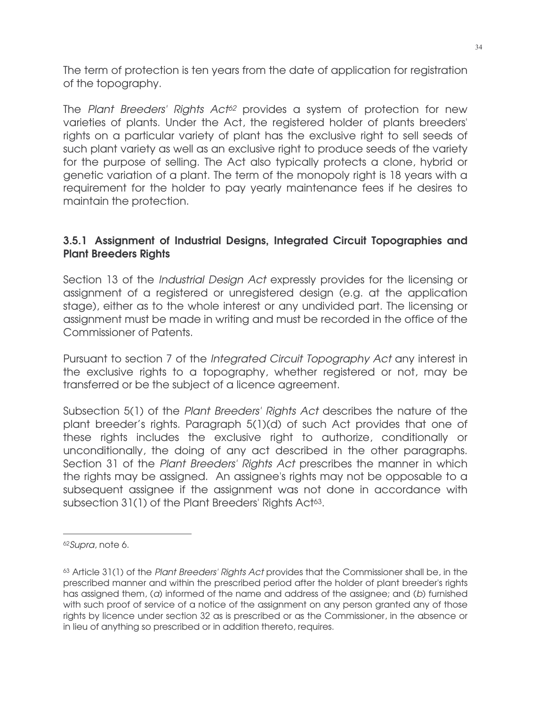The term of protection is ten years from the date of application for registration of the topography.

The *Plant Breeders' Rights Act <sup>62</sup>* provides a system of protection for new varieties of plants. Under the Act, the registered holder of plants breeders' rights on a particular variety of plant has the exclusive right to sell seeds of such plant variety as well as an exclusive right to produce seeds of the variety for the purpose of selling. The Act also typically protects a clone, hybrid or genetic variation of a plant. The term of the monopoly right is 18 years with a requirement for the holder to pay yearly maintenance fees if he desires to maintain the protection.

#### 3.5.1 Assignment of Industrial Designs, Integrated Circuit Topographies and Plant Breeders Rights

Section 13 of the *Industrial Design Act* expressly provides for the licensing or assignment of a registered or unregistered design (e.g. at the application stage), either as to the whole interest or any undivided part. The licensing or assignment must be made in writing and must be recorded in the office of the Commissioner of Patents.

Pursuant to section 7 of the *Integrated Circuit Topography Act* any interest in the exclusive rights to a topography, whether registered or not, may be transferred or be the subject of a licence agreement.

Subsection 5(1) of the *Plant Breeders' Rights Act* describes the nature of the plant breeder's rights. Paragraph 5(1)(d) of such Act provides that one of these rights includes the exclusive right to authorize, conditionally or unconditionally, the doing of any act described in the other paragraphs. Section 31 of the *Plant Breeders' Rights Act* prescribes the manner in which the rights may be assigned. An assignee's rights may not be opposable to a subsequent assignee if the assignment was not done in accordance with subsection 31(1) of the Plant Breeders' Rights Act <sup>63</sup>.

<sup>62</sup>*Supra*, note 6.

<sup>63</sup> Article 31(1) of the *Plant Breeders' Rights Act* provides that the Commissioner shall be, in the prescribed manner and within the prescribed period after the holder of plant breeder's rights has assigned them, (*a*) informed of the name and address of the assignee; and (*b*) furnished with such proof of service of a notice of the assignment on any person granted any of those rights by licence under section 32 as is prescribed or as the Commissioner, in the absence or in lieu of anything so prescribed or in addition thereto, requires.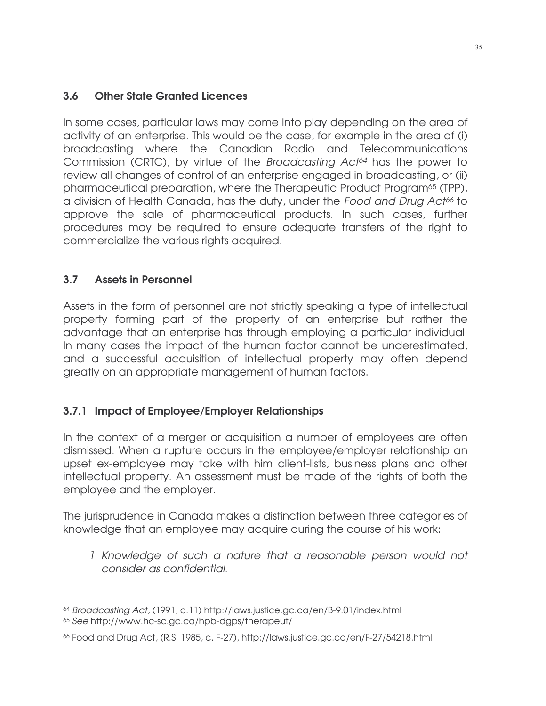## 3.6 Other State Granted Licences

In some cases, particular laws may come into play depending on the area of activity of an enterprise. This would be the case, for example in the area of (i) broadcasting where the Canadian Radio and Telecommunications Commission (CRTC), by virtue of the *Broadcasting Act <sup>64</sup>* has the power to review all changes of control of an enterprise engaged in broadcasting, or (ii) pharmaceutical preparation, where the Therapeutic Product Program<sup>65</sup> (TPP), a division of Health Canada, has the duty, under the *Food and Drug Act <sup>66</sup>* to approve the sale of pharmaceutical products. In such cases, further procedures may be required to ensure adequate transfers of the right to commercialize the various rights acquired.

## 3.7 Assets in Personnel

Assets in the form of personnel are not strictly speaking a type of intellectual property forming part of the property of an enterprise but rather the advantage that an enterprise has through employing a particular individual. In many cases the impact of the human factor cannot be underestimated, and a successful acquisition of intellectual property may often depend greatly on an appropriate management of human factors.

## 3.7.1 Impact of Employee/Employer Relationships

In the context of a merger or acquisition a number of employees are often dismissed. When a rupture occurs in the employee/employer relationship an upset ex-employee may take with him client-lists, business plans and other intellectual property. An assessment must be made of the rights of both the employee and the employer.

The jurisprudence in Canada makes a distinction between three categories of knowledge that an employee may acquire during the course of his work:

*1. Knowledge of such a nature that a reasonable person would not consider as confidential.*

<sup>64</sup> *Broadcasting Act*, (1991, c.11) http://laws.justice.gc.ca/en/B-9.01/index.html <sup>65</sup> *See* http://www.hc-sc.gc.ca/hpb-dgps/therapeut/

<sup>66</sup> Food and Drug Act, (R.S. 1985, c. F-27), http://laws.justice.gc.ca/en/F-27/54218.html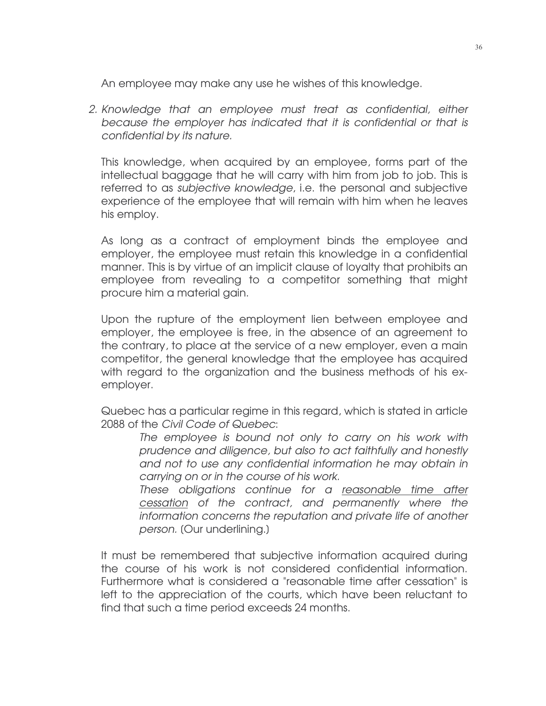An employee may make any use he wishes of this knowledge.

*2. Knowledge that an employee must treat as confidential, either because the employer has indicated that it is confidential or that is confidential by its nature.*

This knowledge, when acquired by an employee, forms part of the intellectual baggage that he will carry with him from job to job. This is referred to as *subjective knowledge*, i.e. the personal and subjective experience of the employee that will remain with him when he leaves his employ.

As long as a contract of employment binds the employee and employer, the employee must retain this knowledge in a confidential manner. This is by virtue of an implicit clause of loyalty that prohibits an employee from revealing to a competitor something that might procure him a material gain.

Upon the rupture of the employment lien between employee and employer, the employee is free, in the absence of an agreement to the contrary, to place at the service of a new employer, even a main competitor, the general knowledge that the employee has acquired with regard to the organization and the business methods of his exemployer.

Quebec has a particular regime in this regard, which is stated in article 2088 of the *Civil Code of Quebec*:

> *The employee is bound not only to carry on his work with prudence and diligence, but also to act faithfully and honestly and not to use any confidential information he may obtain in carrying on or in the course of his work.*

> *These obligations continue for a reasonable time after cessation of the contract, and permanently where the information concerns the reputation and private life of another person.* [Our underlining.]

It must be remembered that subjective information acquired during the course of his work is not considered confidential information. Furthermore what is considered a "reasonable time after cessation" is left to the appreciation of the courts, which have been reluctant to find that such a time period exceeds 24 months.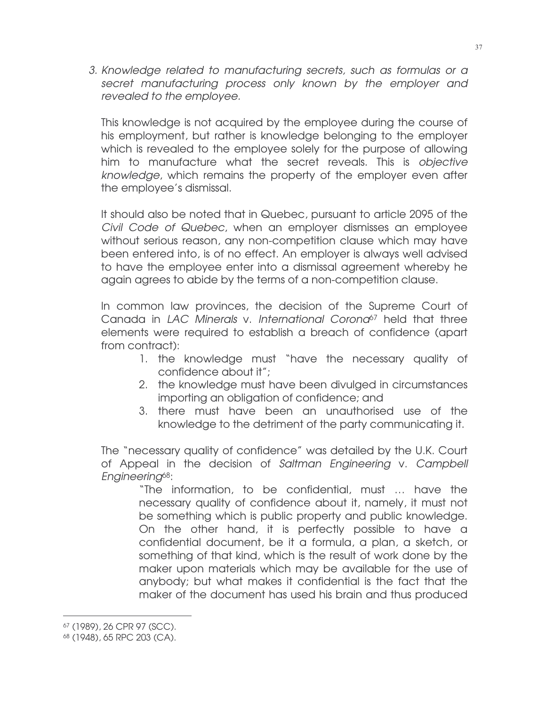*3. Knowledge related to manufacturing secrets, such as formulas or a secret manufacturing process only known by the employer and revealed to the employee.*

This knowledge is not acquired by the employee during the course of his employment, but rather is knowledge belonging to the employer which is revealed to the employee solely for the purpose of allowing him to manufacture what the secret reveals. This is *objective knowledge*, which remains the property of the employer even after the employee's dismissal.

It should also be noted that in Quebec, pursuant to article 2095 of the *Civil Code of Quebec*, when an employer dismisses an employee without serious reason, any non-competition clause which may have been entered into, is of no effect. An employer is always well advised to have the employee enter into a dismissal agreement whereby he again agrees to abide by the terms of a non-competition clause.

In common law provinces, the decision of the Supreme Court of Canada in *LAC Minerals* v. *International Corona*<sup>67</sup> held that three elements were required to establish a breach of confidence (apart from contract):

- 1. the knowledge must "have the necessary quality of confidence about it";
- 2. the knowledge must have been divulged in circumstances importing an obligation of confidence; and
- 3. there must have been an unauthorised use of the knowledge to the detriment of the party communicating it.

The "necessary quality of confidence" was detailed by the U.K. Court of Appeal in the decision of *Saltman Engineering* v. *Campbell Engineering*68:

> "The information, to be confidential, must … have the necessary quality of confidence about it, namely, it must not be something which is public property and public knowledge. On the other hand, it is perfectly possible to have a confidential document, be it a formula, a plan, a sketch, or something of that kind, which is the result of work done by the maker upon materials which may be available for the use of anybody; but what makes it confidential is the fact that the maker of the document has used his brain and thus produced

<sup>67</sup> (1989), 26 CPR 97 (SCC).

<sup>68</sup> (1948), 65 RPC 203 (CA).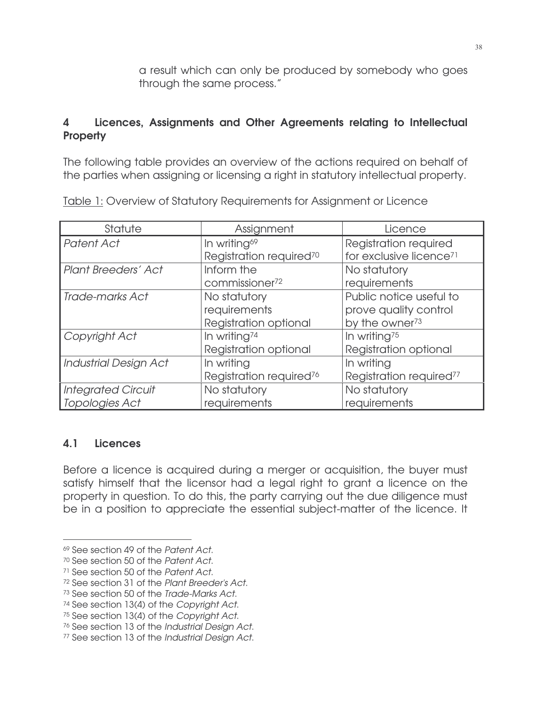a result which can only be produced by somebody who goes through the same process."

## 4 Licences, Assignments and Other Agreements relating to Intellectual **Property**

The following table provides an overview of the actions required on behalf of the parties when assigning or licensing a right in statutory intellectual property.

| Statute                      | Assignment                          | Licence                             |
|------------------------------|-------------------------------------|-------------------------------------|
| <b>Patent Act</b>            | In writing69                        | Registration required               |
|                              | Registration required <sup>70</sup> | for exclusive licence <sup>71</sup> |
| Plant Breeders' Act          | Inform the                          | No statutory                        |
|                              | commissioner <sup>72</sup>          | requirements                        |
| Trade-marks Act              | No statutory                        | Public notice useful to             |
|                              | requirements                        | prove quality control               |
|                              | Registration optional               | by the owner <sup>73</sup>          |
| Copyright Act                | In writing <sup>74</sup>            | In writing <sup>75</sup>            |
|                              | Registration optional               | Registration optional               |
| <b>Industrial Design Act</b> | In writing                          | In writing                          |
|                              | Registration required <sup>76</sup> | Registration required <sup>77</sup> |
| <b>Integrated Circuit</b>    | No statutory                        | No statutory                        |
| Topologies Act               | requirements                        | requirements                        |

Table 1: Overview of Statutory Requirements for Assignment or Licence

# 4.1 Licences

Before a licence is acquired during a merger or acquisition, the buyer must satisfy himself that the licensor had a legal right to grant a licence on the property in question. To do this, the party carrying out the due diligence must be in a position to appreciate the essential subject-matter of the licence. It

<sup>69</sup> See section 49 of the *Patent Act*.

<sup>70</sup> See section 50 of the *Patent Act*.

<sup>71</sup> See section 50 of the *Patent Act*.

<sup>72</sup> See section 31 of the *Plant Breeder's Act*.

<sup>73</sup> See section 50 of the *Trade-Marks Act*.

<sup>74</sup> See section 13(4) of the *Copyright Act*.

<sup>75</sup> See section 13(4) of the *Copyright Act*.

<sup>76</sup> See section 13 of the *Industrial Design Act*.

<sup>77</sup> See section 13 of the *Industrial Design Act*.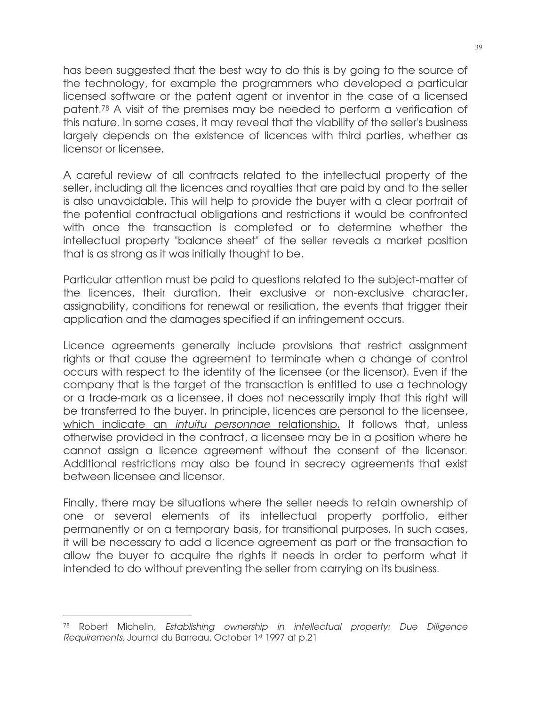has been suggested that the best way to do this is by going to the source of the technology, for example the programmers who developed a particular licensed software or the patent agent or inventor in the case of a licensed patent. <sup>78</sup> A visit of the premises may be needed to perform a verification of this nature. In some cases, it may reveal that the viability of the seller's business largely depends on the existence of licences with third parties, whether as licensor or licensee.

A careful review of all contracts related to the intellectual property of the seller, including all the licences and royalties that are paid by and to the seller is also unavoidable. This will help to provide the buyer with a clear portrait of the potential contractual obligations and restrictions it would be confronted with once the transaction is completed or to determine whether the intellectual property "balance sheet" of the seller reveals a market position that is as strong as it was initially thought to be.

Particular attention must be paid to questions related to the subject-matter of the licences, their duration, their exclusive or non-exclusive character, assignability, conditions for renewal or resiliation, the events that trigger their application and the damages specified if an infringement occurs.

Licence agreements generally include provisions that restrict assignment rights or that cause the agreement to terminate when a change of control occurs with respect to the identity of the licensee (or the licensor). Even if the company that is the target of the transaction is entitled to use a technology or a trade-mark as a licensee, it does not necessarily imply that this right will be transferred to the buyer. In principle, licences are personal to the licensee, which indicate an *intuitu personnae* relationship. It follows that, unless otherwise provided in the contract, a licensee may be in a position where he cannot assign a licence agreement without the consent of the licensor. Additional restrictions may also be found in secrecy agreements that exist between licensee and licensor.

Finally, there may be situations where the seller needs to retain ownership of one or several elements of its intellectual property portfolio, either permanently or on a temporary basis, for transitional purposes. In such cases, it will be necessary to add a licence agreement as part or the transaction to allow the buyer to acquire the rights it needs in order to perform what it intended to do without preventing the seller from carrying on its business.

<sup>78</sup> Robert Michelin, *Establishing ownership in intellectual property: Due Diligence Requirements*, Journal du Barreau, October 1st 1997 at p.21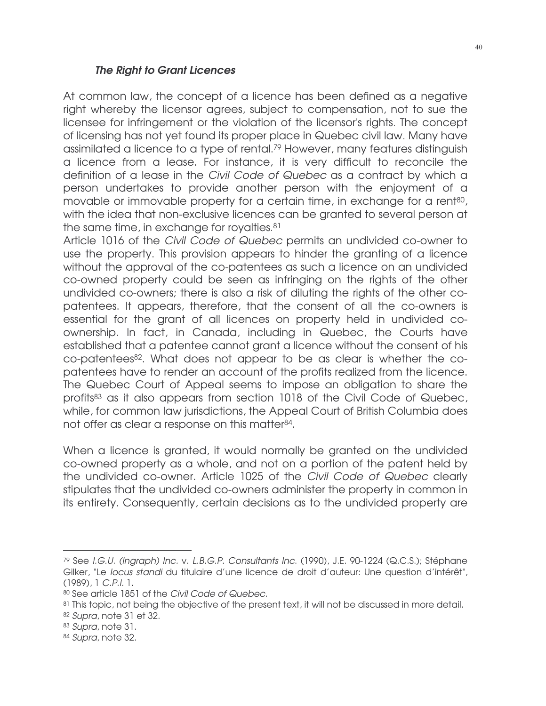#### *The Right to Grant Licences*

At common law, the concept of a licence has been defined as a negative right whereby the licensor agrees, subject to compensation, not to sue the licensee for infringement or the violation of the licensor's rights. The concept of licensing has not yet found its proper place in Quebec civil law. Many have assimilated a licence to a type of rental. <sup>79</sup> However, many features distinguish a licence from a lease. For instance, it is very difficult to reconcile the definition of a lease in the *Civil Code of Quebec* as a contract by which a person undertakes to provide another person with the enjoyment of a movable or immovable property for a certain time, in exchange for a rent<sup>80</sup>, with the idea that non-exclusive licences can be granted to several person at the same time, in exchange for royalties. 81

Article 1016 of the *Civil Code of Quebec* permits an undivided co-owner to use the property. This provision appears to hinder the granting of a licence without the approval of the co-patentees as such a licence on an undivided co-owned property could be seen as infringing on the rights of the other undivided co-owners; there is also a risk of diluting the rights of the other copatentees. It appears, therefore, that the consent of all the co-owners is essential for the grant of all licences on property held in undivided coownership. In fact, in Canada, including in Quebec, the Courts have established that a patentee cannot grant a licence without the consent of his co-patentees <sup>82</sup>. What does not appear to be as clear is whether the copatentees have to render an account of the profits realized from the licence. The Quebec Court of Appeal seems to impose an obligation to share the profits <sup>83</sup> as it also appears from section 1018 of the Civil Code of Quebec, while, for common law jurisdictions, the Appeal Court of British Columbia does not offer as clear a response on this matter <sup>84</sup>.

When a licence is granted, it would normally be granted on the undivided co-owned property as a whole, and not on a portion of the patent held by the undivided co-owner. Article 1025 of the *Civil Code of Quebec* clearly stipulates that the undivided co-owners administer the property in common in its entirety. Consequently, certain decisions as to the undivided property are

<sup>79</sup> See *I.G.U. (Ingraph) Inc.* v. *L.B.G.P. Consultants Inc*. (1990), J.E. 90-1224 (Q.C.S.); Stéphane Gilker, "Le *locus standi* du titulaire d'une licence de droit d'auteur: Une question d'intérêt", (1989), 1 *C.P.I.* 1.

<sup>80</sup> See article 1851 of the *Civil Code of Quebec*.

<sup>81</sup> This topic, not being the objective of the present text, it will not be discussed in more detail.

<sup>82</sup> *Supra*, note 31 et 32.

<sup>83</sup> *Supra*, note 31.

<sup>84</sup> *Supra*, note 32.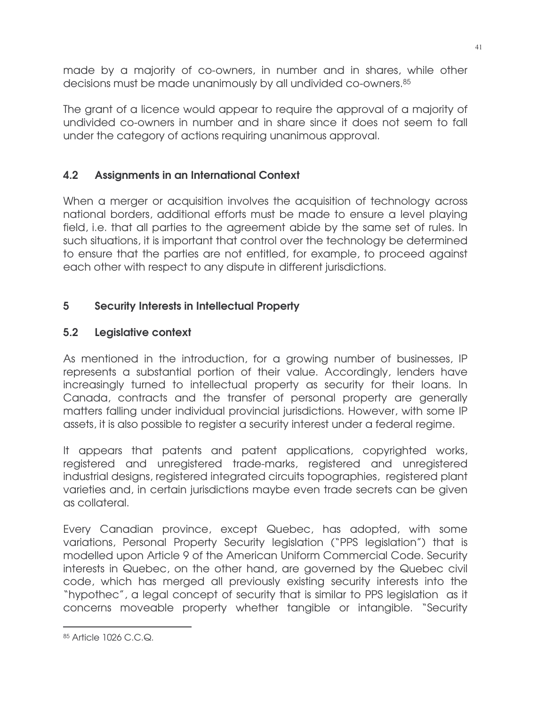made by a majority of co-owners, in number and in shares, while other decisions must be made unanimously by all undivided co-owners. 85

The grant of a licence would appear to require the approval of a majority of undivided co-owners in number and in share since it does not seem to fall under the category of actions requiring unanimous approval.

# 4.2 Assignments in an International Context

When a merger or acquisition involves the acquisition of technology across national borders, additional efforts must be made to ensure a level playing field, i.e. that all parties to the agreement abide by the same set of rules. In such situations, it is important that control over the technology be determined to ensure that the parties are not entitled, for example, to proceed against each other with respect to any dispute in different jurisdictions.

# 5 Security Interests in Intellectual Property

# 5.2 Legislative context

As mentioned in the introduction, for a growing number of businesses, IP represents a substantial portion of their value. Accordingly, lenders have increasingly turned to intellectual property as security for their loans. In Canada, contracts and the transfer of personal property are generally matters falling under individual provincial jurisdictions. However, with some IP assets, it is also possible to register a security interest under a federal regime.

It appears that patents and patent applications, copyrighted works, registered and unregistered trade-marks, registered and unregistered industrial designs, registered integrated circuits topographies, registered plant varieties and, in certain jurisdictions maybe even trade secrets can be given as collateral.

Every Canadian province, except Quebec, has adopted, with some variations, Personal Property Security legislation ("PPS legislation") that is modelled upon Article 9 of the American Uniform Commercial Code. Security interests in Quebec, on the other hand, are governed by the Quebec civil code, which has merged all previously existing security interests into the "hypothec", a legal concept of security that is similar to PPS legislation as it concerns moveable property whether tangible or intangible. "Security

<sup>85</sup> Article 1026 C.C.Q.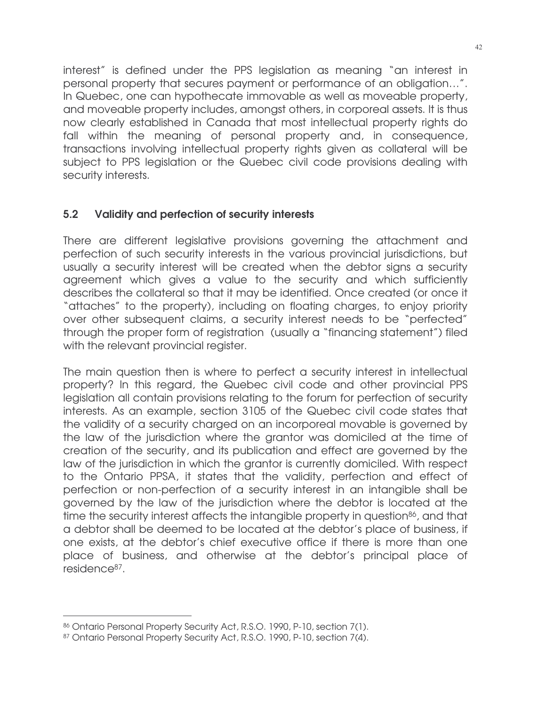interest" is defined under the PPS legislation as meaning "an interest in personal property that secures payment or performance of an obligation…". In Quebec, one can hypothecate immovable as well as moveable property, and moveable property includes, amongst others, in corporeal assets. It is thus now clearly established in Canada that most intellectual property rights do fall within the meaning of personal property and, in consequence, transactions involving intellectual property rights given as collateral will be subject to PPS legislation or the Quebec civil code provisions dealing with security interests.

#### 5.2 Validity and perfection of security interests

There are different legislative provisions governing the attachment and perfection of such security interests in the various provincial jurisdictions, but usually a security interest will be created when the debtor signs a security agreement which gives a value to the security and which sufficiently describes the collateral so that it may be identified. Once created (or once it "attaches" to the property), including on floating charges, to enjoy priority over other subsequent claims, a security interest needs to be "perfected" through the proper form of registration (usually a "financing statement") filed with the relevant provincial register.

The main question then is where to perfect a security interest in intellectual property? In this regard, the Quebec civil code and other provincial PPS legislation all contain provisions relating to the forum for perfection of security interests. As an example, section 3105 of the Quebec civil code states that the validity of a security charged on an incorporeal movable is governed by the law of the jurisdiction where the grantor was domiciled at the time of creation of the security, and its publication and effect are governed by the law of the jurisdiction in which the grantor is currently domiciled. With respect to the Ontario PPSA, it states that the validity, perfection and effect of perfection or non-perfection of a security interest in an intangible shall be governed by the law of the jurisdiction where the debtor is located at the time the security interest affects the intangible property in question<sup>86</sup>, and that a debtor shall be deemed to be located at the debtor's place of business, if one exists, at the debtor's chief executive office if there is more than one place of business, and otherwise at the debtor's principal place of residence87.

<sup>86</sup> Ontario Personal Property Security Act, R.S.O. 1990, P-10, section 7(1).

<sup>87</sup> Ontario Personal Property Security Act, R.S.O. 1990, P-10, section 7(4).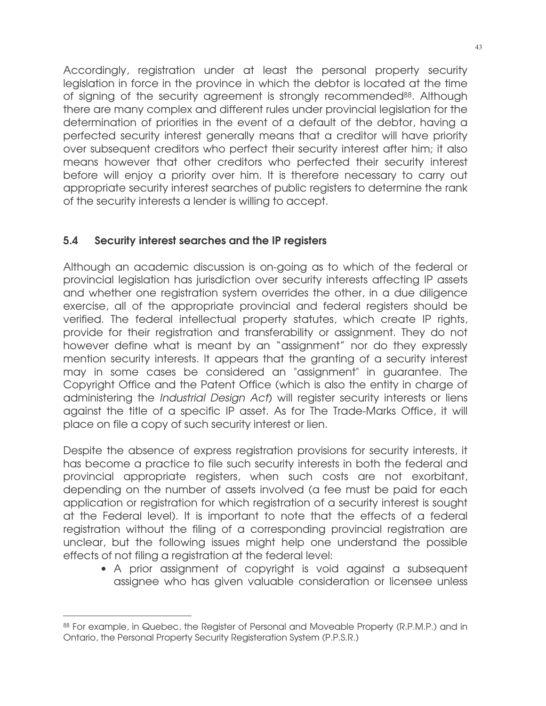Accordingly, registration under at least the personal property security legislation in force in the province in which the debtor is located at the time of signing of the security agreement is strongly recommended<sup>88</sup>. Although there are many complex and different rules under provincial legislation for the determination of priorities in the event of a default of the debtor, having a perfected security interest generally means that a creditor will have priority over subsequent creditors who perfect their security interest after him; it also means however that other creditors who perfected their security interest before will enjoy a priority over him. It is therefore necessary to carry out appropriate security interest searches of public registers to determine the rank of the security interests a lender is willing to accept.

#### 5.4 Security interest searches and the IP registers

Although an academic discussion is on-going as to which of the federal or provincial legislation has jurisdiction over security interests affecting IP assets and whether one registration system overrides the other, in a due diligence exercise, all of the appropriate provincial and federal registers should be verified. The federal intellectual property statutes, which create IP rights, provide for their registration and transferability or assignment. They do not however define what is meant by an "assignment" nor do they expressly mention security interests. It appears that the granting of a security interest may in some cases be considered an "assignment" in guarantee. The Copyright Office and the Patent Office (which is also the entity in charge of administering the *Industrial Design Act*) will register security interests or liens against the title of a specific IP asset. As for The Trade-Marks Office, it will place on file a copy of such security interest or lien.

Despite the absence of express registration provisions for security interests, it has become a practice to file such security interests in both the federal and provincial appropriate registers, when such costs are not exorbitant, depending on the number of assets involved (a fee must be paid for each application or registration for which registration of a security interest is sought at the Federal level). It is important to note that the effects of a federal registration without the filing of a corresponding provincial registration are unclear, but the following issues might help one understand the possible effects of not filing a registration at the federal level:

• A prior assignment of copyright is void against a subsequent assignee who has given valuable consideration or licensee unless

<sup>88</sup> For example, in Quebec, the Register of Personal and Moveable Property (R.P.M.P.) and in Ontario, the Personal Property Security Registeration System (P.P.S.R.)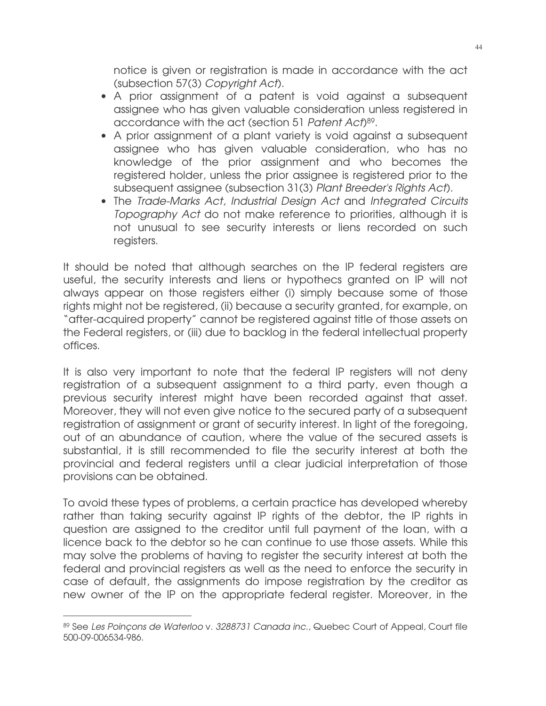notice is given or registration is made in accordance with the act (subsection 57(3) *Copyright Act*).

- A prior assignment of a patent is void against a subsequent assignee who has given valuable consideration unless registered in accordance with the act (section 51 *Patent Act*) <sup>89</sup>.
- A prior assignment of a plant variety is void against a subsequent assignee who has given valuable consideration, who has no knowledge of the prior assignment and who becomes the registered holder, unless the prior assignee is registered prior to the subsequent assignee (subsection 31(3) *Plant Breeder's Rights Act*).
- The *Trade-Marks Act*, *Industrial Design Act* and *Integrated Circuits Topography Act* do not make reference to priorities, although it is not unusual to see security interests or liens recorded on such registers.

It should be noted that although searches on the IP federal registers are useful, the security interests and liens or hypothecs granted on IP will not always appear on those registers either (i) simply because some of those rights might not be registered, (ii) because a security granted, for example, on "after-acquired property" cannot be registered against title of those assets on the Federal registers, or (iii) due to backlog in the federal intellectual property offices.

It is also very important to note that the federal IP registers will not deny registration of a subsequent assignment to a third party, even though a previous security interest might have been recorded against that asset. Moreover, they will not even give notice to the secured party of a subsequent registration of assignment or grant of security interest. In light of the foregoing, out of an abundance of caution, where the value of the secured assets is substantial, it is still recommended to file the security interest at both the provincial and federal registers until a clear judicial interpretation of those provisions can be obtained.

To avoid these types of problems, a certain practice has developed whereby rather than taking security against IP rights of the debtor, the IP rights in question are assigned to the creditor until full payment of the loan, with a licence back to the debtor so he can continue to use those assets. While this may solve the problems of having to register the security interest at both the federal and provincial registers as well as the need to enforce the security in case of default, the assignments do impose registration by the creditor as new owner of the IP on the appropriate federal register. Moreover, in the

<sup>89</sup> See *Les Poinçons de Waterloo* v. *3288731 Canada inc.*, Quebec Court of Appeal, Court file 500-09-006534-986.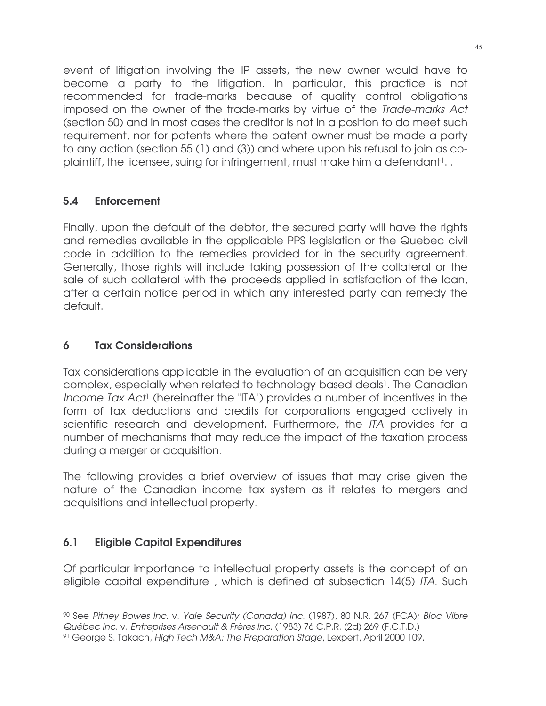event of litigation involving the IP assets, the new owner would have to become a party to the litigation. In particular, this practice is not recommended for trade-marks because of quality control obligations imposed on the owner of the trade-marks by virtue of the *Trade-marks Act* (section 50) and in most cases the creditor is not in a position to do meet such requirement, nor for patents where the patent owner must be made a party to any action (section 55 (1) and (3)) and where upon his refusal to join as coplaintiff, the licensee, suing for infringement, must make him a defendant <sup>1</sup>. .

#### 5.4 Enforcement

Finally, upon the default of the debtor, the secured party will have the rights and remedies available in the applicable PPS legislation or the Quebec civil code in addition to the remedies provided for in the security agreement. Generally, those rights will include taking possession of the collateral or the sale of such collateral with the proceeds applied in satisfaction of the loan, after a certain notice period in which any interested party can remedy the default.

#### 6 Tax Considerations

Tax considerations applicable in the evaluation of an acquisition can be very complex, especially when related to technology based deals <sup>1</sup>. The Canadian *Income Tax Act* <sup>1</sup> (hereinafter the "ITA") provides a number of incentives in the form of tax deductions and credits for corporations engaged actively in scientific research and development. Furthermore, the *ITA* provides for a number of mechanisms that may reduce the impact of the taxation process during a merger or acquisition.

The following provides a brief overview of issues that may arise given the nature of the Canadian income tax system as it relates to mergers and acquisitions and intellectual property.

#### 6.1 Eligible Capital Expenditures

Of particular importance to intellectual property assets is the concept of an eligible capital expenditure , which is defined at subsection 14(5) *ITA*. Such

<sup>90</sup> See *Pitney Bowes Inc.* v. *Yale Security (Canada) Inc.* (1987), 80 N.R. 267 (FCA); *Bloc Vibre Québec Inc.* v. *Entreprises Arsenault & Frères Inc.* (1983) 76 C.P.R. (2d) 269 (F.C.T.D.)

<sup>91</sup> George S. Takach, *High Tech M&A: The Preparation Stage*, Lexpert, April 2000 109.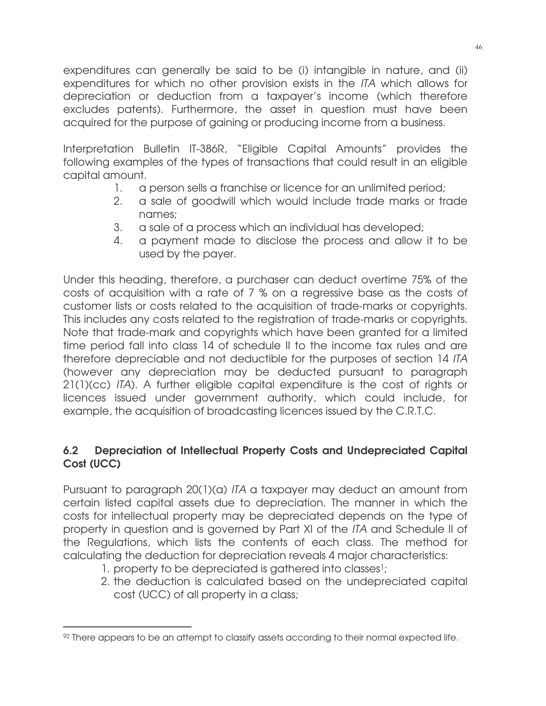expenditures can generally be said to be (i) intangible in nature, and (ii) expenditures for which no other provision exists in the *ITA* which allows for depreciation or deduction from a taxpayer's income (which therefore excludes patents). Furthermore, the asset in question must have been acquired for the purpose of gaining or producing income from a business.

Interpretation Bulletin IT-386R, "Eligible Capital Amounts" provides the following examples of the types of transactions that could result in an eligible capital amount.

- 1. a person sells a franchise or licence for an unlimited period;
- 2. a sale of goodwill which would include trade marks or trade names;
- 3. a sale of a process which an individual has developed;
- 4. a payment made to disclose the process and allow it to be used by the payer.

Under this heading, therefore, a purchaser can deduct overtime 75% of the costs of acquisition with a rate of 7 % on a regressive base as the costs of customer lists or costs related to the acquisition of trade-marks or copyrights. This includes any costs related to the registration of trade-marks or copyrights. Note that trade-mark and copyrights which have been granted for a limited time period fall into class 14 of schedule II to the income tax rules and are therefore depreciable and not deductible for the purposes of section 14 *ITA* (however any depreciation may be deducted pursuant to paragraph 21(1)(cc) *ITA*). A further eligible capital expenditure is the cost of rights or licences issued under government authority, which could include, for example, the acquisition of broadcasting licences issued by the C.R.T.C.

## 6.2 Depreciation of Intellectual Property Costs and Undepreciated Capital Cost (UCC)

Pursuant to paragraph 20(1)(a) *ITA* a taxpayer may deduct an amount from certain listed capital assets due to depreciation. The manner in which the costs for intellectual property may be depreciated depends on the type of property in question and is governed by Part XI of the *ITA* and Schedule II of the Regulations, which lists the contents of each class. The method for calculating the deduction for depreciation reveals 4 major characteristics:

1. property to be depreciated is gathered into classes 1;

2. the deduction is calculated based on the undepreciated capital cost (UCC) of all property in a class;

<sup>92</sup> There appears to be an attempt to classify assets according to their normal expected life.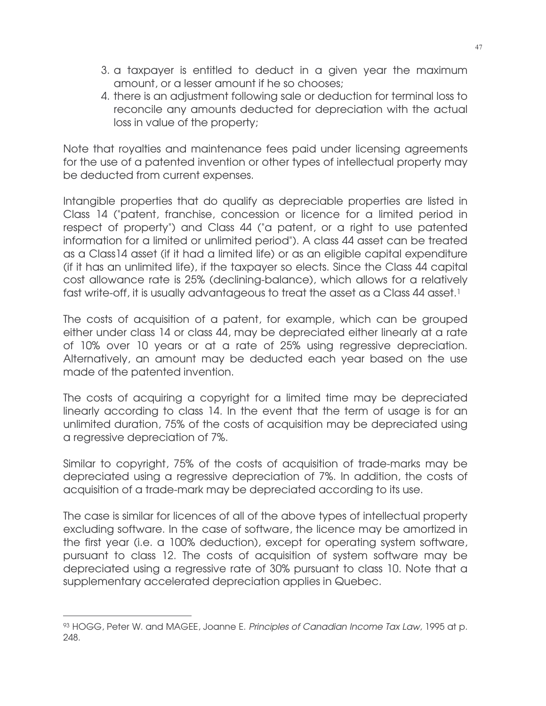- 3. a taxpayer is entitled to deduct in a given year the maximum amount, or a lesser amount if he so chooses;
- 4. there is an adjustment following sale or deduction for terminal loss to reconcile any amounts deducted for depreciation with the actual loss in value of the property;

Note that royalties and maintenance fees paid under licensing agreements for the use of a patented invention or other types of intellectual property may be deducted from current expenses.

Intangible properties that do qualify as depreciable properties are listed in Class 14 ("patent, franchise, concession or licence for a limited period in respect of property") and Class 44 ("a patent, or a right to use patented information for a limited or unlimited period"). A class 44 asset can be treated as a Class14 asset (if it had a limited life) or as an eligible capital expenditure (if it has an unlimited life), if the taxpayer so elects. Since the Class 44 capital cost allowance rate is 25% (declining-balance), which allows for a relatively fast write-off, it is usually advantageous to treat the asset as a Class 44 asset. 1

The costs of acquisition of a patent, for example, which can be grouped either under class 14 or class 44, may be depreciated either linearly at a rate of 10% over 10 years or at a rate of 25% using regressive depreciation. Alternatively, an amount may be deducted each year based on the use made of the patented invention.

The costs of acquiring a copyright for a limited time may be depreciated linearly according to class 14. In the event that the term of usage is for an unlimited duration, 75% of the costs of acquisition may be depreciated using a regressive depreciation of 7%.

Similar to copyright, 75% of the costs of acquisition of trade-marks may be depreciated using a regressive depreciation of 7%. In addition, the costs of acquisition of a trade-mark may be depreciated according to its use.

The case is similar for licences of all of the above types of intellectual property excluding software. In the case of software, the licence may be amortized in the first year (i.e. a 100% deduction), except for operating system software, pursuant to class 12. The costs of acquisition of system software may be depreciated using a regressive rate of 30% pursuant to class 10. Note that a supplementary accelerated depreciation applies in Quebec.

<sup>93</sup> HOGG, Peter W. and MAGEE, Joanne E. *Principles of Canadian Income Tax Law,* 1995 at p. 248.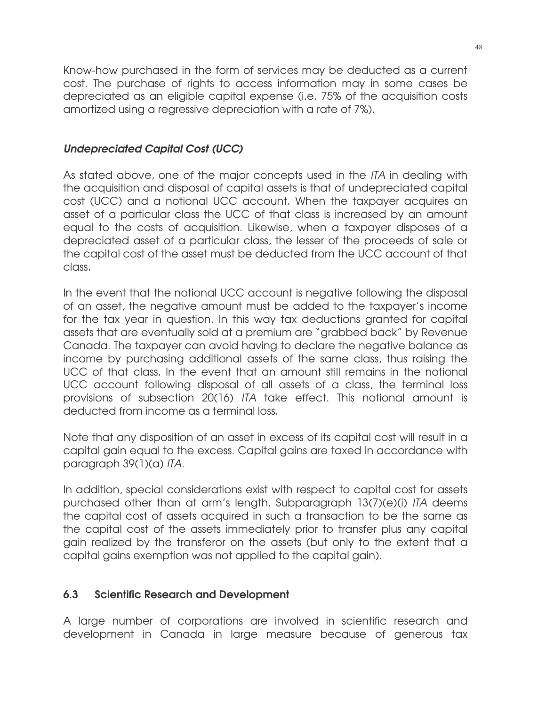Know-how purchased in the form of services may be deducted as a current cost. The purchase of rights to access information may in some cases be depreciated as an eligible capital expense (i.e. 75% of the acquisition costs amortized using a regressive depreciation with a rate of 7%).

#### *Undepreciated Capital Cost (UCC)*

As stated above, one of the major concepts used in the *ITA* in dealing with the acquisition and disposal of capital assets is that of undepreciated capital cost (UCC) and a notional UCC account. When the taxpayer acquires an asset of a particular class the UCC of that class is increased by an amount equal to the costs of acquisition. Likewise, when a taxpayer disposes of a depreciated asset of a particular class, the lesser of the proceeds of sale or the capital cost of the asset must be deducted from the UCC account of that class.

In the event that the notional UCC account is negative following the disposal of an asset, the negative amount must be added to the taxpayer's income for the tax year in question. In this way tax deductions granted for capital assets that are eventually sold at a premium are "grabbed back" by Revenue Canada. The taxpayer can avoid having to declare the negative balance as income by purchasing additional assets of the same class, thus raising the UCC of that class. In the event that an amount still remains in the notional UCC account following disposal of all assets of a class, the terminal loss provisions of subsection 20(16) *ITA* take effect. This notional amount is deducted from income as a terminal loss.

Note that any disposition of an asset in excess of its capital cost will result in a capital gain equal to the excess. Capital gains are taxed in accordance with paragraph 39(1)(a) *ITA*.

In addition, special considerations exist with respect to capital cost for assets purchased other than at arm's length. Subparagraph 13(7)(e)(i) *ITA* deems the capital cost of assets acquired in such a transaction to be the same as the capital cost of the assets immediately prior to transfer plus any capital gain realized by the transferor on the assets (but only to the extent that a capital gains exemption was not applied to the capital gain).

#### 6.3 Scientific Research and Development

A large number of corporations are involved in scientific research and development in Canada in large measure because of generous tax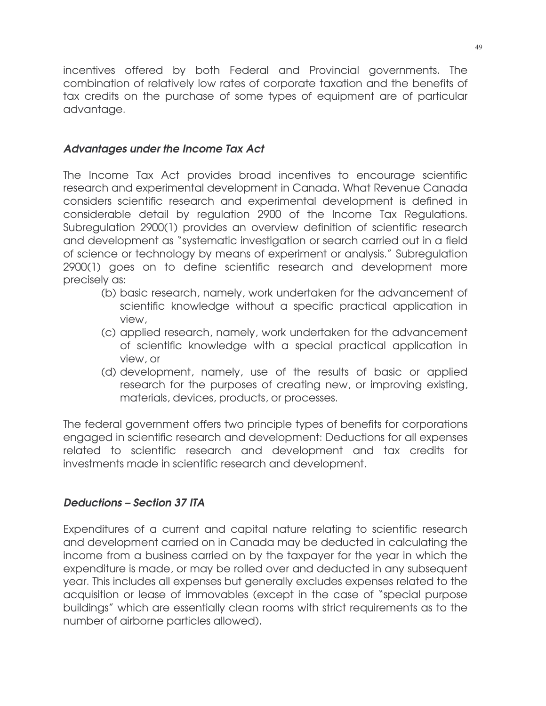incentives offered by both Federal and Provincial governments. The combination of relatively low rates of corporate taxation and the benefits of tax credits on the purchase of some types of equipment are of particular advantage.

#### *Advantages under the Income Tax Act*

The Income Tax Act provides broad incentives to encourage scientific research and experimental development in Canada. What Revenue Canada considers scientific research and experimental development is defined in considerable detail by regulation 2900 of the Income Tax Regulations. Subregulation 2900(1) provides an overview definition of scientific research and development as "systematic investigation or search carried out in a field of science or technology by means of experiment or analysis." Subregulation 2900(1) goes on to define scientific research and development more precisely as:

- (b) basic research, namely, work undertaken for the advancement of scientific knowledge without a specific practical application in view,
- (c) applied research, namely, work undertaken for the advancement of scientific knowledge with a special practical application in view, or
- (d) development, namely, use of the results of basic or applied research for the purposes of creating new, or improving existing, materials, devices, products, or processes.

The federal government offers two principle types of benefits for corporations engaged in scientific research and development: Deductions for all expenses related to scientific research and development and tax credits for investments made in scientific research and development.

#### *Deductions – Section 37 ITA*

Expenditures of a current and capital nature relating to scientific research and development carried on in Canada may be deducted in calculating the income from a business carried on by the taxpayer for the year in which the expenditure is made, or may be rolled over and deducted in any subsequent year. This includes all expenses but generally excludes expenses related to the acquisition or lease of immovables (except in the case of "special purpose buildings" which are essentially clean rooms with strict requirements as to the number of airborne particles allowed).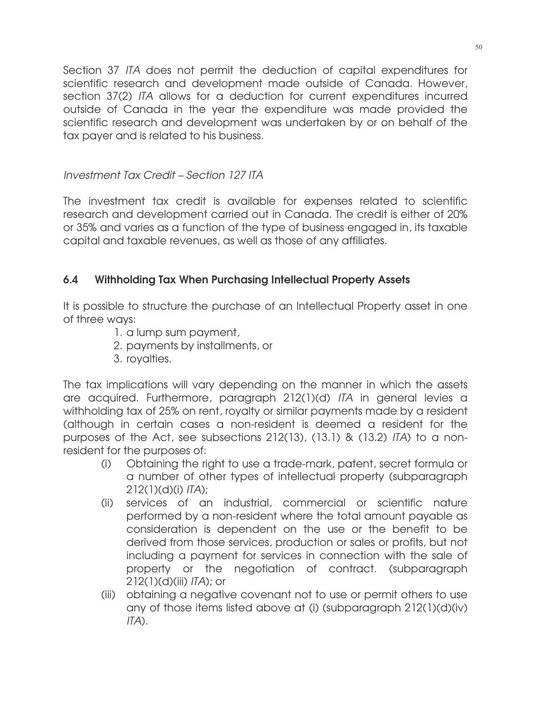Section 37 *ITA* does not permit the deduction of capital expenditures for scientific research and development made outside of Canada. However, section 37(2) *ITA* allows for a deduction for current expenditures incurred outside of Canada in the year the expenditure was made provided the scientific research and development was undertaken by or on behalf of the tax payer and is related to his business.

#### *Investment Tax Credit – Section 127 ITA*

The investment tax credit is available for expenses related to scientific research and development carried out in Canada. The credit is either of 20% or 35% and varies as a function of the type of business engaged in, its taxable capital and taxable revenues, as well as those of any affiliates.

## 6.4 Withholding Tax When Purchasing Intellectual Property Assets

It is possible to structure the purchase of an Intellectual Property asset in one of three ways:

- 1. a lump sum payment,
- 2. payments by installments, or
- 3. royalties.

The tax implications will vary depending on the manner in which the assets are acquired. Furthermore, paragraph 212(1)(d) *ITA* in general levies a withholding tax of 25% on rent, royalty or similar payments made by a resident (although in certain cases a non-resident is deemed a resident for the purposes of the Act, see subsections 212(13), (13.1) & (13.2) *ITA*) to a nonresident for the purposes of:

- (i) Obtaining the right to use a trade-mark, patent, secret formula or a number of other types of intellectual property (subparagraph 212(1)(d)(i) *ITA*);
- (ii) services of an industrial, commercial or scientific nature performed by a non-resident where the total amount payable as consideration is dependent on the use or the benefit to be derived from those services, production or sales or profits, but not including a payment for services in connection with the sale of property or the negotiation of contract. (subparagraph 212(1)(d)(iii) *ITA*); or
- (iii) obtaining a negative covenant not to use or permit others to use any of those items listed above at (i) (subparagraph 212(1)(d)(iv) *ITA*).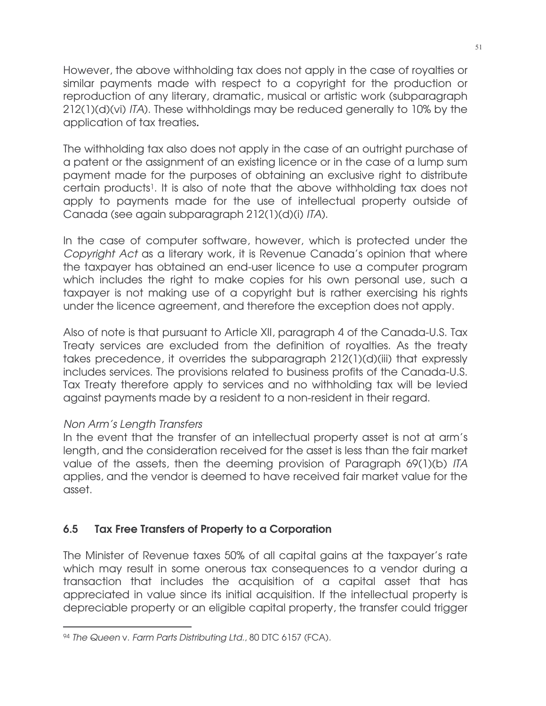However, the above withholding tax does not apply in the case of royalties or similar payments made with respect to a copyright for the production or reproduction of any literary, dramatic, musical or artistic work (subparagraph 212(1)(d)(vi) *ITA*). These withholdings may be reduced generally to 10% by the application of tax treaties.

The withholding tax also does not apply in the case of an outright purchase of a patent or the assignment of an existing licence or in the case of a lump sum payment made for the purposes of obtaining an exclusive right to distribute certain products <sup>1</sup>. It is also of note that the above withholding tax does not apply to payments made for the use of intellectual property outside of Canada (see again subparagraph 212(1)(d)(i) *ITA*).

In the case of computer software, however, which is protected under the *Copyright Act* as a literary work, it is Revenue Canada's opinion that where the taxpayer has obtained an end-user licence to use a computer program which includes the right to make copies for his own personal use, such a taxpayer is not making use of a copyright but is rather exercising his rights under the licence agreement, and therefore the exception does not apply.

Also of note is that pursuant to Article XII, paragraph 4 of the Canada-U.S. Tax Treaty services are excluded from the definition of royalties. As the treaty takes precedence, it overrides the subparagraph 212(1)(d)(iii) that expressly includes services. The provisions related to business profits of the Canada-U.S. Tax Treaty therefore apply to services and no withholding tax will be levied against payments made by a resident to a non-resident in their regard.

#### *Non Arm's Length Transfers*

In the event that the transfer of an intellectual property asset is not at arm's length, and the consideration received for the asset is less than the fair market value of the assets, then the deeming provision of Paragraph 69(1)(b) *ITA* applies, and the vendor is deemed to have received fair market value for the asset.

#### 6.5 Tax Free Transfers of Property to a Corporation

The Minister of Revenue taxes 50% of all capital gains at the taxpayer's rate which may result in some onerous tax consequences to a vendor during a transaction that includes the acquisition of a capital asset that has appreciated in value since its initial acquisition. If the intellectual property is depreciable property or an eligible capital property, the transfer could trigger

<sup>94</sup> *The Queen* v. *Farm Parts Distributing Ltd.*, 80 DTC 6157 (FCA).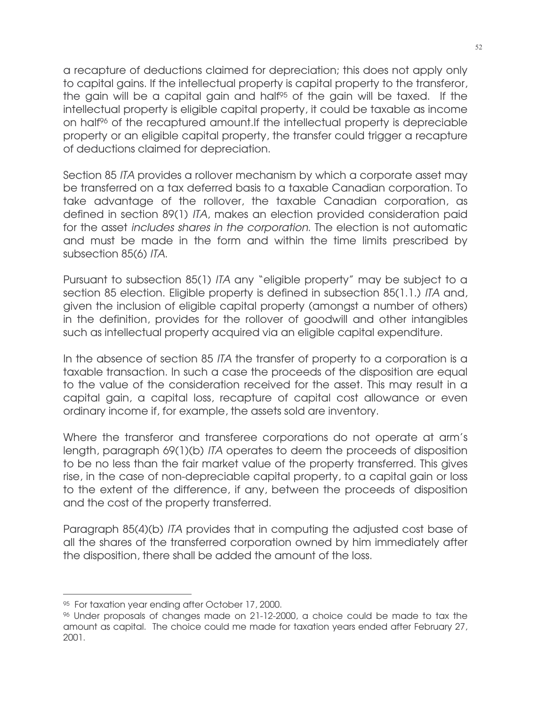a recapture of deductions claimed for depreciation; this does not apply only to capital gains. If the intellectual property is capital property to the transferor, the gain will be a capital gain and half <sup>95</sup> of the gain will be taxed. If the intellectual property is eligible capital property, it could be taxable as income on half <sup>96</sup> of the recaptured amount.If the intellectual property is depreciable property or an eligible capital property, the transfer could trigger a recapture of deductions claimed for depreciation.

Section 85 *ITA* provides a rollover mechanism by which a corporate asset may be transferred on a tax deferred basis to a taxable Canadian corporation. To take advantage of the rollover, the taxable Canadian corporation, as defined in section 89(1) *ITA*, makes an election provided consideration paid for the asset *includes shares in the corporation*. The election is not automatic and must be made in the form and within the time limits prescribed by subsection 85(6) *ITA*.

Pursuant to subsection 85(1) *ITA* any "eligible property" may be subject to a section 85 election. Eligible property is defined in subsection 85(1.1.) *ITA* and, given the inclusion of eligible capital property (amongst a number of others) in the definition, provides for the rollover of goodwill and other intangibles such as intellectual property acquired via an eligible capital expenditure.

In the absence of section 85 *ITA* the transfer of property to a corporation is a taxable transaction. In such a case the proceeds of the disposition are equal to the value of the consideration received for the asset. This may result in a capital gain, a capital loss, recapture of capital cost allowance or even ordinary income if, for example, the assets sold are inventory.

Where the transferor and transferee corporations do not operate at arm's length, paragraph 69(1)(b) *ITA* operates to deem the proceeds of disposition to be no less than the fair market value of the property transferred. This gives rise, in the case of non-depreciable capital property, to a capital gain or loss to the extent of the difference, if any, between the proceeds of disposition and the cost of the property transferred.

Paragraph 85(4)(b) *ITA* provides that in computing the adjusted cost base of all the shares of the transferred corporation owned by him immediately after the disposition, there shall be added the amount of the loss.

<sup>&</sup>lt;sup>95</sup> For taxation year ending after October 17, 2000.

<sup>96</sup> Under proposals of changes made on 21-12-2000, a choice could be made to tax the amount as capital. The choice could me made for taxation years ended after February 27, 2001.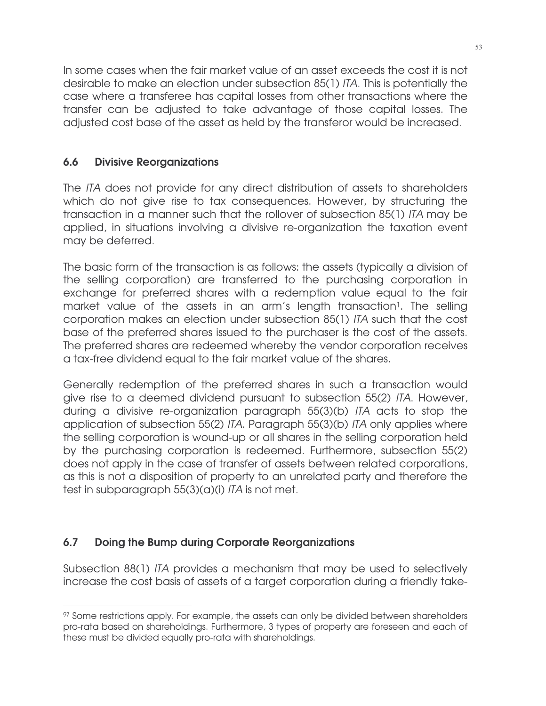In some cases when the fair market value of an asset exceeds the cost it is not desirable to make an election under subsection 85(1) *ITA*. This is potentially the case where a transferee has capital losses from other transactions where the transfer can be adjusted to take advantage of those capital losses. The adjusted cost base of the asset as held by the transferor would be increased.

### 6.6 Divisive Reorganizations

The *ITA* does not provide for any direct distribution of assets to shareholders which do not give rise to tax consequences. However, by structuring the transaction in a manner such that the rollover of subsection 85(1) *ITA* may be applied, in situations involving a divisive re-organization the taxation event may be deferred.

The basic form of the transaction is as follows: the assets (typically a division of the selling corporation) are transferred to the purchasing corporation in exchange for preferred shares with a redemption value equal to the fair market value of the assets in an arm's length transaction<sup>1</sup>. The selling corporation makes an election under subsection 85(1) *ITA* such that the cost base of the preferred shares issued to the purchaser is the cost of the assets. The preferred shares are redeemed whereby the vendor corporation receives a tax-free dividend equal to the fair market value of the shares.

Generally redemption of the preferred shares in such a transaction would give rise to a deemed dividend pursuant to subsection 55(2) *ITA*. However, during a divisive re-organization paragraph 55(3)(b) *ITA* acts to stop the application of subsection 55(2) *ITA*. Paragraph 55(3)(b) *ITA* only applies where the selling corporation is wound-up or all shares in the selling corporation held by the purchasing corporation is redeemed. Furthermore, subsection 55(2) does not apply in the case of transfer of assets between related corporations, as this is not a disposition of property to an unrelated party and therefore the test in subparagraph 55(3)(a)(i) *ITA* is not met.

# 6.7 Doing the Bump during Corporate Reorganizations

Subsection 88(1) *ITA* provides a mechanism that may be used to selectively increase the cost basis of assets of a target corporation during a friendly take-

<sup>97</sup> Some restrictions apply. For example, the assets can only be divided between shareholders pro-rata based on shareholdings. Furthermore, 3 types of property are foreseen and each of these must be divided equally pro-rata with shareholdings.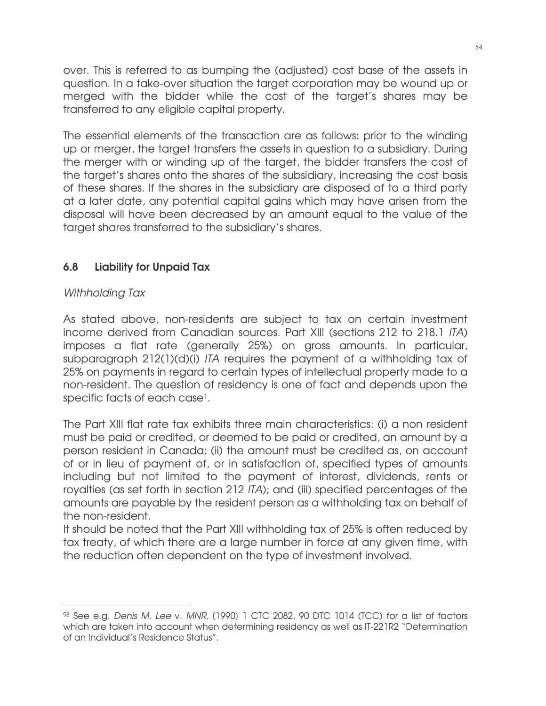over. This is referred to as bumping the (adjusted) cost base of the assets in question. In a take-over situation the target corporation may be wound up or merged with the bidder while the cost of the target's shares may be transferred to any eligible capital property.

The essential elements of the transaction are as follows: prior to the winding up or merger, the target transfers the assets in question to a subsidiary. During the merger with or winding up of the target, the bidder transfers the cost of the target's shares onto the shares of the subsidiary, increasing the cost basis of these shares. If the shares in the subsidiary are disposed of to a third party at a later date, any potential capital gains which may have arisen from the disposal will have been decreased by an amount equal to the value of the target shares transferred to the subsidiary's shares.

#### 6.8 Liability for Unpaid Tax

#### *Withholding Tax*

As stated above, non-residents are subject to tax on certain investment income derived from Canadian sources. Part XIII (sections 212 to 218.1 *ITA*) imposes a flat rate (generally 25%) on gross amounts. In particular, subparagraph 212(1)(d)(i) *ITA* requires the payment of a withholding tax of 25% on payments in regard to certain types of intellectual property made to a non-resident. The question of residency is one of fact and depends upon the specific facts of each case<sup>1</sup>.

The Part XIII flat rate tax exhibits three main characteristics: (i) a non resident must be paid or credited, or deemed to be paid or credited, an amount by a person resident in Canada; (ii) the amount must be credited as, on account of or in lieu of payment of, or in satisfaction of, specified types of amounts including but not limited to the payment of interest, dividends, rents or royalties (as set forth in section 212 *ITA*); and (iii) specified percentages of the amounts are payable by the resident person as a withholding tax on behalf of the non-resident.

It should be noted that the Part XIII withholding tax of 25% is often reduced by tax treaty, of which there are a large number in force at any given time, with the reduction often dependent on the type of investment involved.

<sup>98</sup> See e.g. *Denis M. Lee* v. *MNR*, [1990] 1 CTC 2082, 90 DTC 1014 (TCC) for a list of factors which are taken into account when determining residency as well as IT-221R2 "Determination of an Individual's Residence Status".